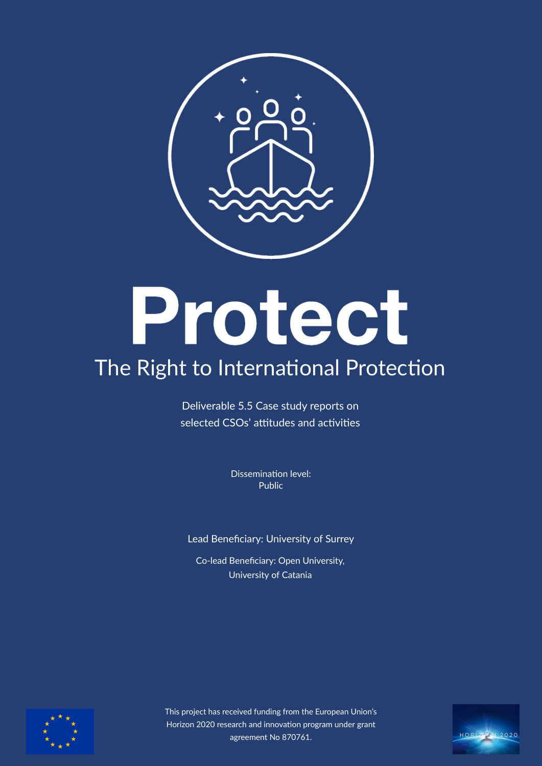

# Protect

# The Right to International Protection

Deliverable 5.5 Case study reports on selected CSOs' attitudes and activities

> Dissemination level: Public

Lead Benefciary: University of Surrey

Co-lead Benefciary: Open University,University of Catania



This project has received funding from the European Union's Horizon 2020 research and innovation program under grant agreement No 870761.

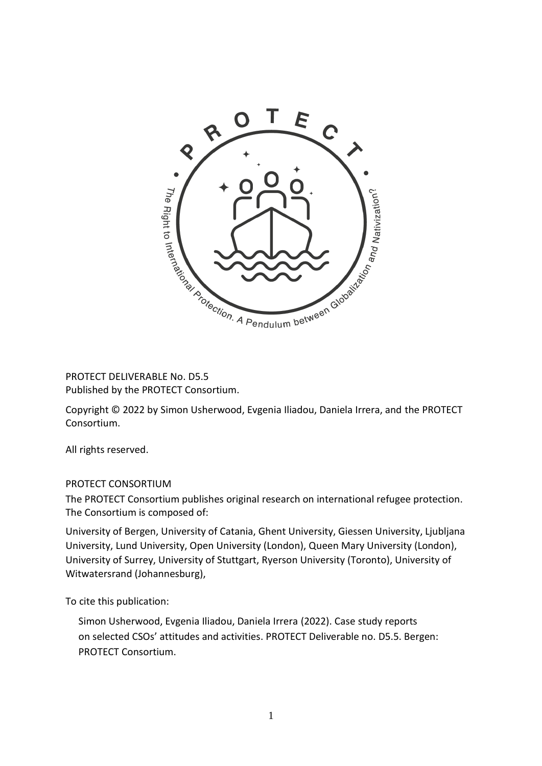

PROTECT DELIVERABLE No. D5.5 Published by the PROTECT Consortium.

Copyright © 2022 by Simon Usherwood, Evgenia Iliadou, Daniela Irrera, and the PROTECT Consortium.

All rights reserved.

# PROTECT CONSORTIUM

The PROTECT Consortium publishes original research on international refugee protection. The Consortium is composed of:

University of Bergen, University of Catania, Ghent University, Giessen University, Ljubljana University, Lund University, Open University (London), Queen Mary University (London), University of Surrey, University of Stuttgart, Ryerson University (Toronto), University of Witwatersrand (Johannesburg),

To cite this publication:

Simon Usherwood, Evgenia Iliadou, Daniela Irrera (2022). Case study reports on selected CSOs' attitudes and activities. PROTECT Deliverable no. D5.5. Bergen: PROTECT Consortium.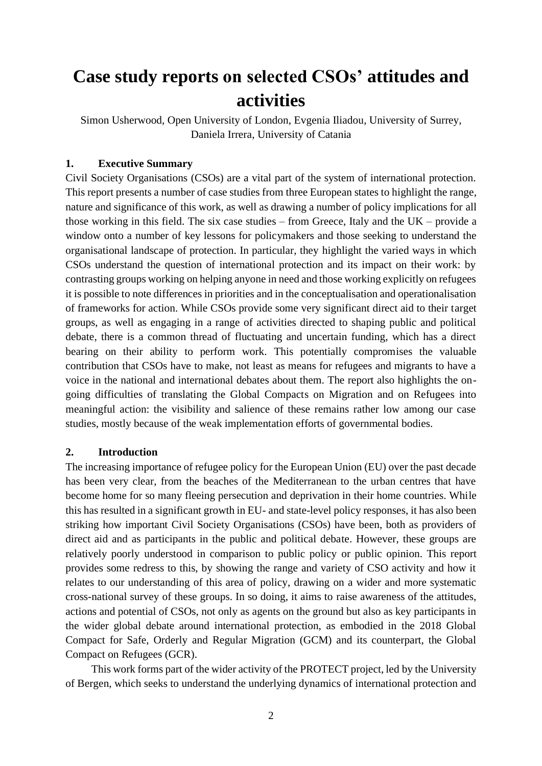# **Case study reports on selected CSOs' attitudes and activities**

Simon Usherwood, Open University of London, Evgenia Iliadou, University of Surrey, Daniela Irrera, University of Catania

# **1. Executive Summary**

Civil Society Organisations (CSOs) are a vital part of the system of international protection. This report presents a number of case studies from three European states to highlight the range, nature and significance of this work, as well as drawing a number of policy implications for all those working in this field. The six case studies – from Greece, Italy and the  $UK$  – provide a window onto a number of key lessons for policymakers and those seeking to understand the organisational landscape of protection. In particular, they highlight the varied ways in which CSOs understand the question of international protection and its impact on their work: by contrasting groups working on helping anyone in need and those working explicitly on refugees it is possible to note differences in priorities and in the conceptualisation and operationalisation of frameworks for action. While CSOs provide some very significant direct aid to their target groups, as well as engaging in a range of activities directed to shaping public and political debate, there is a common thread of fluctuating and uncertain funding, which has a direct bearing on their ability to perform work. This potentially compromises the valuable contribution that CSOs have to make, not least as means for refugees and migrants to have a voice in the national and international debates about them. The report also highlights the ongoing difficulties of translating the Global Compacts on Migration and on Refugees into meaningful action: the visibility and salience of these remains rather low among our case studies, mostly because of the weak implementation efforts of governmental bodies.

# **2. Introduction**

The increasing importance of refugee policy for the European Union (EU) over the past decade has been very clear, from the beaches of the Mediterranean to the urban centres that have become home for so many fleeing persecution and deprivation in their home countries. While this has resulted in a significant growth in EU- and state-level policy responses, it has also been striking how important Civil Society Organisations (CSOs) have been, both as providers of direct aid and as participants in the public and political debate. However, these groups are relatively poorly understood in comparison to public policy or public opinion. This report provides some redress to this, by showing the range and variety of CSO activity and how it relates to our understanding of this area of policy, drawing on a wider and more systematic cross-national survey of these groups. In so doing, it aims to raise awareness of the attitudes, actions and potential of CSOs, not only as agents on the ground but also as key participants in the wider global debate around international protection, as embodied in the 2018 Global Compact for Safe, Orderly and Regular Migration (GCM) and its counterpart, the Global Compact on Refugees (GCR).

This work forms part of the wider activity of the PROTECT project, led by the University of Bergen, which seeks to understand the underlying dynamics of international protection and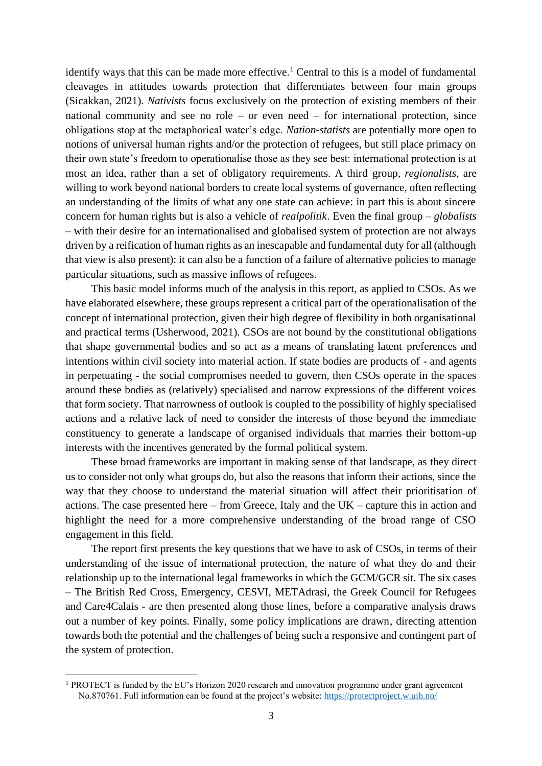identify ways that this can be made more effective.<sup>1</sup> Central to this is a model of fundamental cleavages in attitudes towards protection that differentiates between four main groups (Sicakkan, 2021). *Nativists* focus exclusively on the protection of existing members of their national community and see no role – or even need – for international protection, since obligations stop at the metaphorical water's edge. *Nation-statists* are potentially more open to notions of universal human rights and/or the protection of refugees, but still place primacy on their own state's freedom to operationalise those as they see best: international protection is at most an idea, rather than a set of obligatory requirements. A third group, *regionalists*, are willing to work beyond national borders to create local systems of governance, often reflecting an understanding of the limits of what any one state can achieve: in part this is about sincere concern for human rights but is also a vehicle of *realpolitik*. Even the final group – *globalists* – with their desire for an internationalised and globalised system of protection are not always driven by a reification of human rights as an inescapable and fundamental duty for all (although that view is also present): it can also be a function of a failure of alternative policies to manage particular situations, such as massive inflows of refugees.

This basic model informs much of the analysis in this report, as applied to CSOs. As we have elaborated elsewhere, these groups represent a critical part of the operationalisation of the concept of international protection, given their high degree of flexibility in both organisational and practical terms (Usherwood, 2021). CSOs are not bound by the constitutional obligations that shape governmental bodies and so act as a means of translating latent preferences and intentions within civil society into material action. If state bodies are products of - and agents in perpetuating - the social compromises needed to govern, then CSOs operate in the spaces around these bodies as (relatively) specialised and narrow expressions of the different voices that form society. That narrowness of outlook is coupled to the possibility of highly specialised actions and a relative lack of need to consider the interests of those beyond the immediate constituency to generate a landscape of organised individuals that marries their bottom-up interests with the incentives generated by the formal political system.

These broad frameworks are important in making sense of that landscape, as they direct us to consider not only what groups do, but also the reasons that inform their actions, since the way that they choose to understand the material situation will affect their prioritisation of actions. The case presented here – from Greece, Italy and the UK – capture this in action and highlight the need for a more comprehensive understanding of the broad range of CSO engagement in this field.

The report first presents the key questions that we have to ask of CSOs, in terms of their understanding of the issue of international protection, the nature of what they do and their relationship up to the international legal frameworks in which the GCM/GCR sit. The six cases – The British Red Cross, Emergency, CESVI, METAdrasi, the Greek Council for Refugees and Care4Calais - are then presented along those lines, before a comparative analysis draws out a number of key points. Finally, some policy implications are drawn, directing attention towards both the potential and the challenges of being such a responsive and contingent part of the system of protection.

<sup>&</sup>lt;sup>1</sup> PROTECT is funded by the EU's Horizon 2020 research and innovation programme under grant agreement No.870761. Full information can be found at the project's website:<https://protectproject.w.uib.no/>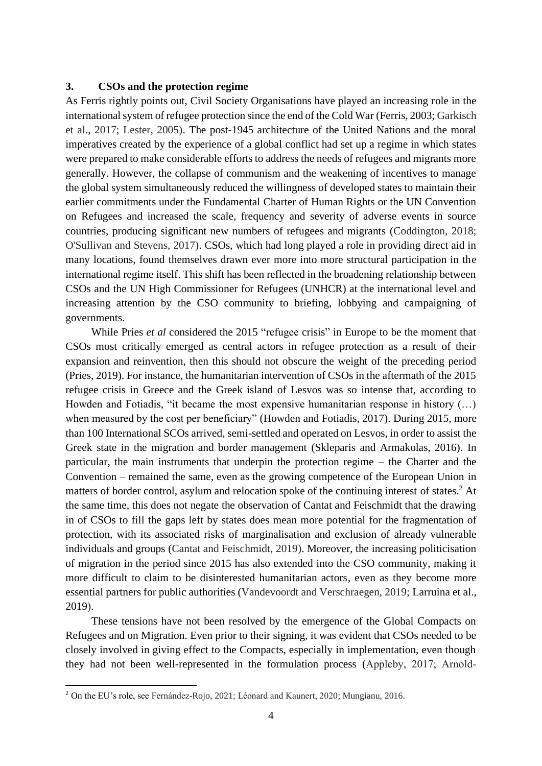# **3. CSOs and the protection regime**

As Ferris rightly points out, Civil Society Organisations have played an increasing role in the international system of refugee protection since the end of the Cold War (Ferris, 2003; Garkisch et al., 2017; Lester, 2005). The post-1945 architecture of the United Nations and the moral imperatives created by the experience of a global conflict had set up a regime in which states were prepared to make considerable efforts to address the needs of refugees and migrants more generally. However, the collapse of communism and the weakening of incentives to manage the global system simultaneously reduced the willingness of developed states to maintain their earlier commitments under the Fundamental Charter of Human Rights or the UN Convention on Refugees and increased the scale, frequency and severity of adverse events in source countries, producing significant new numbers of refugees and migrants (Coddington, 2018; O'Sullivan and Stevens, 2017). CSOs, which had long played a role in providing direct aid in many locations, found themselves drawn ever more into more structural participation in the international regime itself. This shift has been reflected in the broadening relationship between CSOs and the UN High Commissioner for Refugees (UNHCR) at the international level and increasing attention by the CSO community to briefing, lobbying and campaigning of governments.

While Pries *et al* considered the 2015 "refugee crisis" in Europe to be the moment that CSOs most critically emerged as central actors in refugee protection as a result of their expansion and reinvention, then this should not obscure the weight of the preceding period (Pries, 2019). For instance, the humanitarian intervention of CSOs in the aftermath of the 2015 refugee crisis in Greece and the Greek island of Lesvos was so intense that, according to Howden and Fotiadis, "it became the most expensive humanitarian response in history (…) when measured by the cost per beneficiary" (Howden and Fotiadis, 2017). During 2015, more than 100 International SCOs arrived, semi-settled and operated on Lesvos, in order to assist the Greek state in the migration and border management (Skleparis and Armakolas, 2016). In particular, the main instruments that underpin the protection regime – the Charter and the Convention – remained the same, even as the growing competence of the European Union in matters of border control, asylum and relocation spoke of the continuing interest of states.<sup>2</sup> At the same time, this does not negate the observation of Cantat and Feischmidt that the drawing in of CSOs to fill the gaps left by states does mean more potential for the fragmentation of protection, with its associated risks of marginalisation and exclusion of already vulnerable individuals and groups (Cantat and Feischmidt, 2019). Moreover, the increasing politicisation of migration in the period since 2015 has also extended into the CSO community, making it more difficult to claim to be disinterested humanitarian actors, even as they become more essential partners for public authorities (Vandevoordt and Verschraegen, 2019; Larruina et al., 2019).

These tensions have not been resolved by the emergence of the Global Compacts on Refugees and on Migration. Even prior to their signing, it was evident that CSOs needed to be closely involved in giving effect to the Compacts, especially in implementation, even though they had not been well-represented in the formulation process (Appleby, 2017; Arnold‐

<sup>2</sup> On the EU's role, see Fernández-Rojo, 2021; Léonard and Kaunert, 2020; Mungianu, 2016.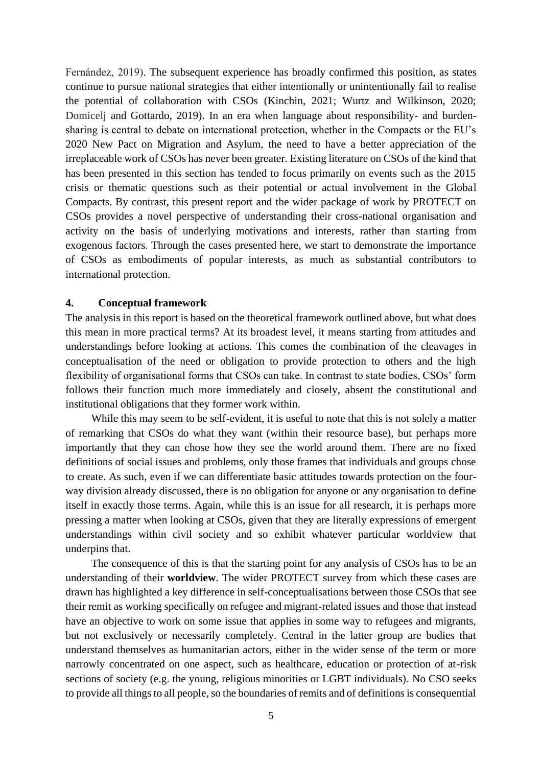Fernández, 2019). The subsequent experience has broadly confirmed this position, as states continue to pursue national strategies that either intentionally or unintentionally fail to realise the potential of collaboration with CSOs (Kinchin, 2021; Wurtz and Wilkinson, 2020; Domicelj and Gottardo, 2019). In an era when language about responsibility- and burdensharing is central to debate on international protection, whether in the Compacts or the EU's 2020 New Pact on Migration and Asylum, the need to have a better appreciation of the irreplaceable work of CSOs has never been greater. Existing literature on CSOs of the kind that has been presented in this section has tended to focus primarily on events such as the 2015 crisis or thematic questions such as their potential or actual involvement in the Global Compacts. By contrast, this present report and the wider package of work by PROTECT on CSOs provides a novel perspective of understanding their cross-national organisation and activity on the basis of underlying motivations and interests, rather than starting from exogenous factors. Through the cases presented here, we start to demonstrate the importance of CSOs as embodiments of popular interests, as much as substantial contributors to international protection.

# **4. Conceptual framework**

The analysis in this report is based on the theoretical framework outlined above, but what does this mean in more practical terms? At its broadest level, it means starting from attitudes and understandings before looking at actions. This comes the combination of the cleavages in conceptualisation of the need or obligation to provide protection to others and the high flexibility of organisational forms that CSOs can take. In contrast to state bodies, CSOs' form follows their function much more immediately and closely, absent the constitutional and institutional obligations that they former work within.

While this may seem to be self-evident, it is useful to note that this is not solely a matter of remarking that CSOs do what they want (within their resource base), but perhaps more importantly that they can chose how they see the world around them. There are no fixed definitions of social issues and problems, only those frames that individuals and groups chose to create. As such, even if we can differentiate basic attitudes towards protection on the fourway division already discussed, there is no obligation for anyone or any organisation to define itself in exactly those terms. Again, while this is an issue for all research, it is perhaps more pressing a matter when looking at CSOs, given that they are literally expressions of emergent understandings within civil society and so exhibit whatever particular worldview that underpins that.

The consequence of this is that the starting point for any analysis of CSOs has to be an understanding of their **worldview**. The wider PROTECT survey from which these cases are drawn has highlighted a key difference in self-conceptualisations between those CSOs that see their remit as working specifically on refugee and migrant-related issues and those that instead have an objective to work on some issue that applies in some way to refugees and migrants, but not exclusively or necessarily completely. Central in the latter group are bodies that understand themselves as humanitarian actors, either in the wider sense of the term or more narrowly concentrated on one aspect, such as healthcare, education or protection of at-risk sections of society (e.g. the young, religious minorities or LGBT individuals). No CSO seeks to provide all things to all people, so the boundaries of remits and of definitions is consequential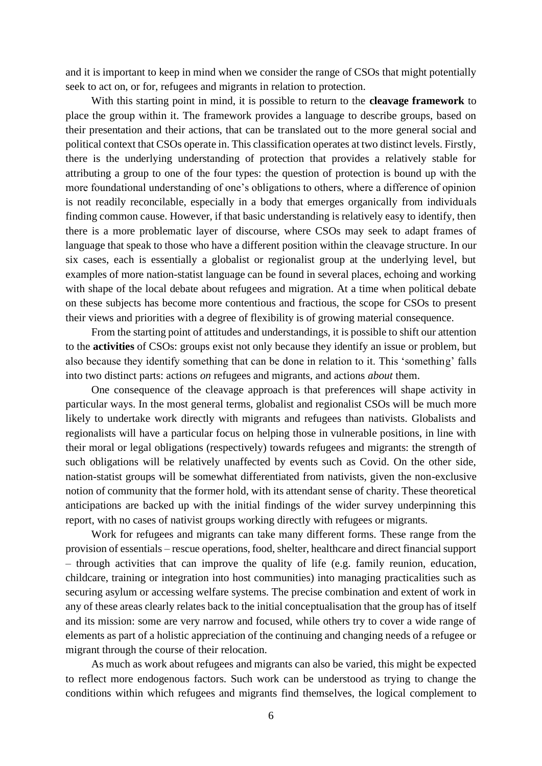and it is important to keep in mind when we consider the range of CSOs that might potentially seek to act on, or for, refugees and migrants in relation to protection.

With this starting point in mind, it is possible to return to the **cleavage framework** to place the group within it. The framework provides a language to describe groups, based on their presentation and their actions, that can be translated out to the more general social and political context that CSOs operate in. This classification operates at two distinct levels. Firstly, there is the underlying understanding of protection that provides a relatively stable for attributing a group to one of the four types: the question of protection is bound up with the more foundational understanding of one's obligations to others, where a difference of opinion is not readily reconcilable, especially in a body that emerges organically from individuals finding common cause. However, if that basic understanding is relatively easy to identify, then there is a more problematic layer of discourse, where CSOs may seek to adapt frames of language that speak to those who have a different position within the cleavage structure. In our six cases, each is essentially a globalist or regionalist group at the underlying level, but examples of more nation-statist language can be found in several places, echoing and working with shape of the local debate about refugees and migration. At a time when political debate on these subjects has become more contentious and fractious, the scope for CSOs to present their views and priorities with a degree of flexibility is of growing material consequence.

From the starting point of attitudes and understandings, it is possible to shift our attention to the **activities** of CSOs: groups exist not only because they identify an issue or problem, but also because they identify something that can be done in relation to it. This 'something' falls into two distinct parts: actions *on* refugees and migrants, and actions *about* them.

One consequence of the cleavage approach is that preferences will shape activity in particular ways. In the most general terms, globalist and regionalist CSOs will be much more likely to undertake work directly with migrants and refugees than nativists. Globalists and regionalists will have a particular focus on helping those in vulnerable positions, in line with their moral or legal obligations (respectively) towards refugees and migrants: the strength of such obligations will be relatively unaffected by events such as Covid. On the other side, nation-statist groups will be somewhat differentiated from nativists, given the non-exclusive notion of community that the former hold, with its attendant sense of charity. These theoretical anticipations are backed up with the initial findings of the wider survey underpinning this report, with no cases of nativist groups working directly with refugees or migrants.

Work for refugees and migrants can take many different forms. These range from the provision of essentials – rescue operations, food, shelter, healthcare and direct financial support – through activities that can improve the quality of life (e.g. family reunion, education, childcare, training or integration into host communities) into managing practicalities such as securing asylum or accessing welfare systems. The precise combination and extent of work in any of these areas clearly relates back to the initial conceptualisation that the group has of itself and its mission: some are very narrow and focused, while others try to cover a wide range of elements as part of a holistic appreciation of the continuing and changing needs of a refugee or migrant through the course of their relocation.

As much as work about refugees and migrants can also be varied, this might be expected to reflect more endogenous factors. Such work can be understood as trying to change the conditions within which refugees and migrants find themselves, the logical complement to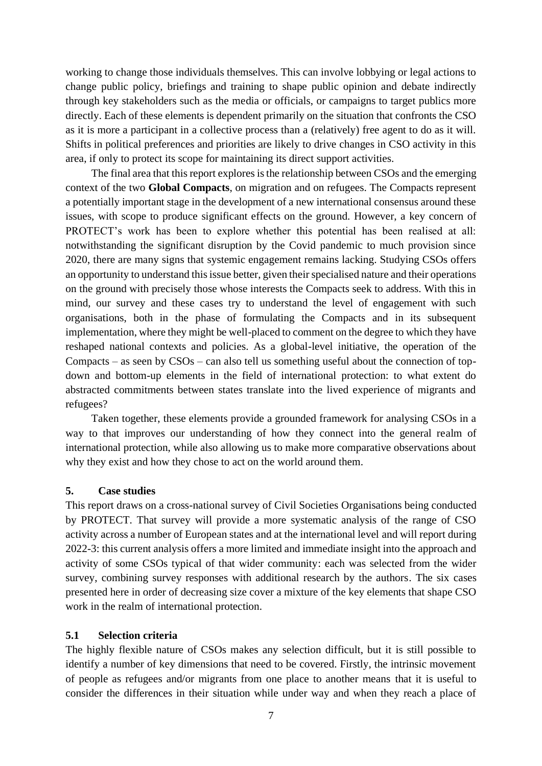working to change those individuals themselves. This can involve lobbying or legal actions to change public policy, briefings and training to shape public opinion and debate indirectly through key stakeholders such as the media or officials, or campaigns to target publics more directly. Each of these elements is dependent primarily on the situation that confronts the CSO as it is more a participant in a collective process than a (relatively) free agent to do as it will. Shifts in political preferences and priorities are likely to drive changes in CSO activity in this area, if only to protect its scope for maintaining its direct support activities.

The final area that this report explores is the relationship between CSOs and the emerging context of the two **Global Compacts**, on migration and on refugees. The Compacts represent a potentially important stage in the development of a new international consensus around these issues, with scope to produce significant effects on the ground. However, a key concern of PROTECT's work has been to explore whether this potential has been realised at all: notwithstanding the significant disruption by the Covid pandemic to much provision since 2020, there are many signs that systemic engagement remains lacking. Studying CSOs offers an opportunity to understand this issue better, given their specialised nature and their operations on the ground with precisely those whose interests the Compacts seek to address. With this in mind, our survey and these cases try to understand the level of engagement with such organisations, both in the phase of formulating the Compacts and in its subsequent implementation, where they might be well-placed to comment on the degree to which they have reshaped national contexts and policies. As a global-level initiative, the operation of the Compacts – as seen by CSOs – can also tell us something useful about the connection of topdown and bottom-up elements in the field of international protection: to what extent do abstracted commitments between states translate into the lived experience of migrants and refugees?

Taken together, these elements provide a grounded framework for analysing CSOs in a way to that improves our understanding of how they connect into the general realm of international protection, while also allowing us to make more comparative observations about why they exist and how they chose to act on the world around them.

# **5. Case studies**

This report draws on a cross-national survey of Civil Societies Organisations being conducted by PROTECT. That survey will provide a more systematic analysis of the range of CSO activity across a number of European states and at the international level and will report during 2022-3: this current analysis offers a more limited and immediate insight into the approach and activity of some CSOs typical of that wider community: each was selected from the wider survey, combining survey responses with additional research by the authors. The six cases presented here in order of decreasing size cover a mixture of the key elements that shape CSO work in the realm of international protection.

# **5.1 Selection criteria**

The highly flexible nature of CSOs makes any selection difficult, but it is still possible to identify a number of key dimensions that need to be covered. Firstly, the intrinsic movement of people as refugees and/or migrants from one place to another means that it is useful to consider the differences in their situation while under way and when they reach a place of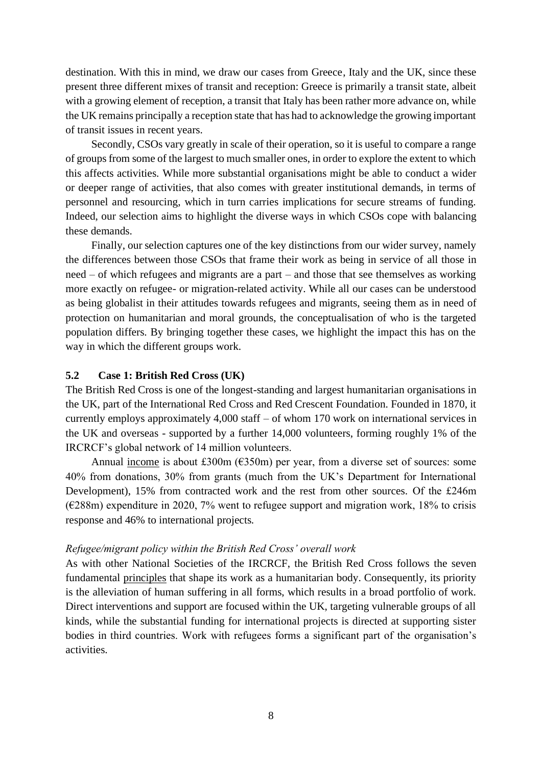destination. With this in mind, we draw our cases from Greece, Italy and the UK, since these present three different mixes of transit and reception: Greece is primarily a transit state, albeit with a growing element of reception, a transit that Italy has been rather more advance on, while the UK remains principally a reception state that has had to acknowledge the growing important of transit issues in recent years.

Secondly, CSOs vary greatly in scale of their operation, so it is useful to compare a range of groups from some of the largest to much smaller ones, in order to explore the extent to which this affects activities. While more substantial organisations might be able to conduct a wider or deeper range of activities, that also comes with greater institutional demands, in terms of personnel and resourcing, which in turn carries implications for secure streams of funding. Indeed, our selection aims to highlight the diverse ways in which CSOs cope with balancing these demands.

Finally, our selection captures one of the key distinctions from our wider survey, namely the differences between those CSOs that frame their work as being in service of all those in need – of which refugees and migrants are a part – and those that see themselves as working more exactly on refugee- or migration-related activity. While all our cases can be understood as being globalist in their attitudes towards refugees and migrants, seeing them as in need of protection on humanitarian and moral grounds, the conceptualisation of who is the targeted population differs. By bringing together these cases, we highlight the impact this has on the way in which the different groups work.

# **5.2 Case 1: British Red Cross (UK)**

The British Red Cross is one of the longest-standing and largest humanitarian organisations in the UK, part of the International Red Cross and Red Crescent Foundation. Founded in 1870, it currently employs approximately 4,000 staff – of whom 170 work on international services in the UK and overseas - supported by a further 14,000 volunteers, forming roughly 1% of the IRCRCF's global network of 14 million volunteers.

Annual [income](https://www.redcross.org.uk/-/media/british-red-cross-trustees-report-and-accounts-2020.pdf) is about £300m ( $6350m$ ) per year, from a diverse set of sources: some 40% from donations, 30% from grants (much from the UK's Department for International Development), 15% from contracted work and the rest from other sources. Of the £246m ( $\epsilon$ 288m) expenditure in 2020, 7% went to refugee support and migration work, 18% to crisis response and 46% to international projects.

# *Refugee/migrant policy within the British Red Cross' overall work*

As with other National Societies of the IRCRCF, the British Red Cross follows the seven fundamental [principles](https://www.redcross.org.uk/about-us/what-we-stand-for) that shape its work as a humanitarian body. Consequently, its priority is the alleviation of human suffering in all forms, which results in a broad portfolio of work. Direct interventions and support are focused within the UK, targeting vulnerable groups of all kinds, while the substantial funding for international projects is directed at supporting sister bodies in third countries. Work with refugees forms a significant part of the organisation's activities.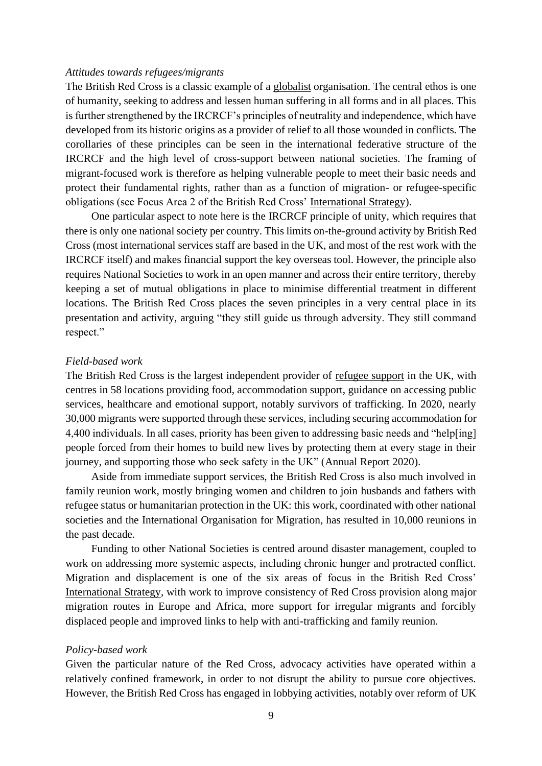#### *Attitudes towards refugees/migrants*

The British Red Cross is a classic example of a [globalist](https://protectproject.w.uib.no/files/2021/06/D1.1-0verall-theoretical-perspective_website.pdf) organisation. The central ethos is one of humanity, seeking to address and lessen human suffering in all forms and in all places. This is further strengthened by the IRCRCF's principles of neutrality and independence, which have developed from its historic origins as a provider of relief to all those wounded in conflicts. The corollaries of these principles can be seen in the international federative structure of the IRCRCF and the high level of cross-support between national societies. The framing of migrant-focused work is therefore as helping vulnerable people to meet their basic needs and protect their fundamental rights, rather than as a function of migration- or refugee-specific obligations (see Focus Area 2 of the British Red Cross' [International Strategy\)](https://www.redcross.org.uk/-/media/documents/about-us/international/british-red-cross-international-strategy-2019-2024.pdf).

One particular aspect to note here is the IRCRCF principle of unity, which requires that there is only one national society per country. This limits on-the-ground activity by British Red Cross (most international services staff are based in the UK, and most of the rest work with the IRCRCF itself) and makes financial support the key overseas tool. However, the principle also requires National Societies to work in an open manner and across their entire territory, thereby keeping a set of mutual obligations in place to minimise differential treatment in different locations. The British Red Cross places the seven principles in a very central place in its presentation and activity, [arguing](https://www.redcross.org.uk/about-us/what-we-stand-for) "they still guide us through adversity. They still command respect."

#### *Field-based work*

The British Red Cross is the largest independent provider of [refugee support](https://www.redcross.org.uk/get-help/get-help-as-a-refugee) in the UK, with centres in 58 locations providing food, accommodation support, guidance on accessing public services, healthcare and emotional support, notably survivors of trafficking. In 2020, nearly 30,000 migrants were supported through these services, including securing accommodation for 4,400 individuals. In all cases, priority has been given to addressing basic needs and "help[ing] people forced from their homes to build new lives by protecting them at every stage in their journey, and supporting those who seek safety in the UK" [\(Annual Report 2020\)](https://www.redcross.org.uk/about-us/how-we-are-run/our-finances/annual-reports-and-accounts).

Aside from immediate support services, the British Red Cross is also much involved in family reunion work, mostly bringing women and children to join husbands and fathers with refugee status or humanitarian protection in the UK: this work, coordinated with other national societies and the International Organisation for Migration, has resulted in 10,000 reunions in the past decade.

Funding to other National Societies is centred around disaster management, coupled to work on addressing more systemic aspects, including chronic hunger and protracted conflict. Migration and displacement is one of the six areas of focus in the British Red Cross' [International Strategy,](https://www.redcross.org.uk/-/media/documents/about-us/international/british-red-cross-international-strategy-2019-2024.pdf) with work to improve consistency of Red Cross provision along major migration routes in Europe and Africa, more support for irregular migrants and forcibly displaced people and improved links to help with anti-trafficking and family reunion.

#### *Policy-based work*

Given the particular nature of the Red Cross, advocacy activities have operated within a relatively confined framework, in order to not disrupt the ability to pursue core objectives. However, the British Red Cross has engaged in lobbying activities, notably over reform of UK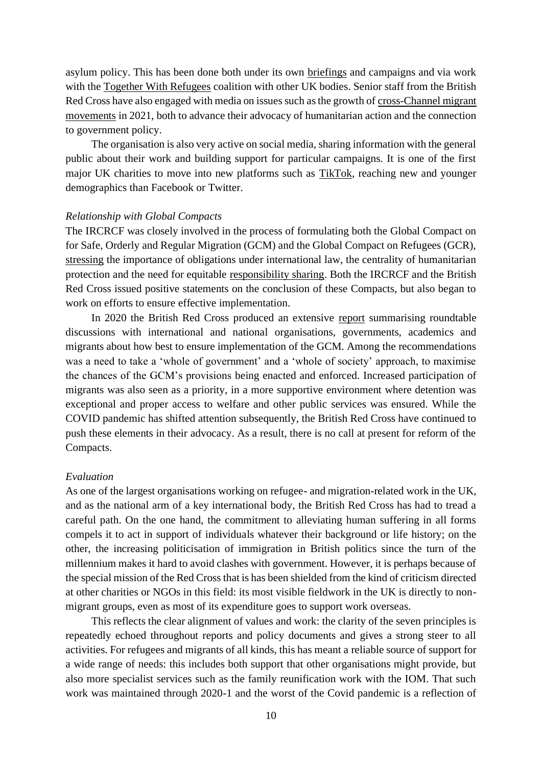asylum policy. This has been done both under its own [briefings](https://www.redcross.org.uk/stories/migration-and-displacement/refugees-and-asylum-seekers/why-changes-to-the-asylum-system-would-be-a-dangerous-step-backwards) and campaigns and via work with the [Together With Refugees](https://togetherwithrefugees.org.uk/) coalition with other UK bodies. Senior staff from the British Red Cross have also engaged with media on issues such as the growth of [cross-Channel migrant](https://www.theguardian.com/world/2021/nov/12/about-1000-people-reach-uk-in-single-day-across-channel-in-small-boats)  [movements](https://www.theguardian.com/world/2021/nov/12/about-1000-people-reach-uk-in-single-day-across-channel-in-small-boats) in 2021, both to advance their advocacy of humanitarian action and the connection to government policy.

The organisation is also very active on social media, sharing information with the general public about their work and building support for particular campaigns. It is one of the first major UK charities to move into new platforms such as [TikTok,](https://www.thirdsector.co.uk/trending-british-red-cross-won-tiktok/communications/article/1731802) reaching new and younger demographics than Facebook or Twitter.

#### *Relationship with Global Compacts*

The IRCRCF was closely involved in the process of formulating both the Global Compact on for Safe, Orderly and Regular Migration (GCM) and the Global Compact on Refugees (GCR), [stressing](https://www.icrc.org/sites/default/files/document_new/file_list/movement_messages_gcm_final.pdf) the importance of obligations under international law, the centrality of humanitarian protection and the need for equitable [responsibility sharing.](https://www.unhcr.org/uk/events/conferences/5a43777513/ifrc-policy-brief-global-compact-refugees.html) Both the IRCRCF and the British Red Cross issued positive statements on the conclusion of these Compacts, but also began to work on efforts to ensure effective implementation.

In 2020 the British Red Cross produced an extensive [report](https://www.redcross.org.uk/-/media/documents/about-us/what-we-do/policy-into-practice-global-compact-migration.pdf) summarising roundtable discussions with international and national organisations, governments, academics and migrants about how best to ensure implementation of the GCM. Among the recommendations was a need to take a 'whole of government' and a 'whole of society' approach, to maximise the chances of the GCM's provisions being enacted and enforced. Increased participation of migrants was also seen as a priority, in a more supportive environment where detention was exceptional and proper access to welfare and other public services was ensured. While the COVID pandemic has shifted attention subsequently, the British Red Cross have continued to push these elements in their advocacy. As a result, there is no call at present for reform of the Compacts.

#### *Evaluation*

As one of the largest organisations working on refugee- and migration-related work in the UK, and as the national arm of a key international body, the British Red Cross has had to tread a careful path. On the one hand, the commitment to alleviating human suffering in all forms compels it to act in support of individuals whatever their background or life history; on the other, the increasing politicisation of immigration in British politics since the turn of the millennium makes it hard to avoid clashes with government. However, it is perhaps because of the special mission of the Red Cross that is has been shielded from the kind of criticism directed at other charities or NGOs in this field: its most visible fieldwork in the UK is directly to nonmigrant groups, even as most of its expenditure goes to support work overseas.

This reflects the clear alignment of values and work: the clarity of the seven principles is repeatedly echoed throughout reports and policy documents and gives a strong steer to all activities. For refugees and migrants of all kinds, this has meant a reliable source of support for a wide range of needs: this includes both support that other organisations might provide, but also more specialist services such as the family reunification work with the IOM. That such work was maintained through 2020-1 and the worst of the Covid pandemic is a reflection of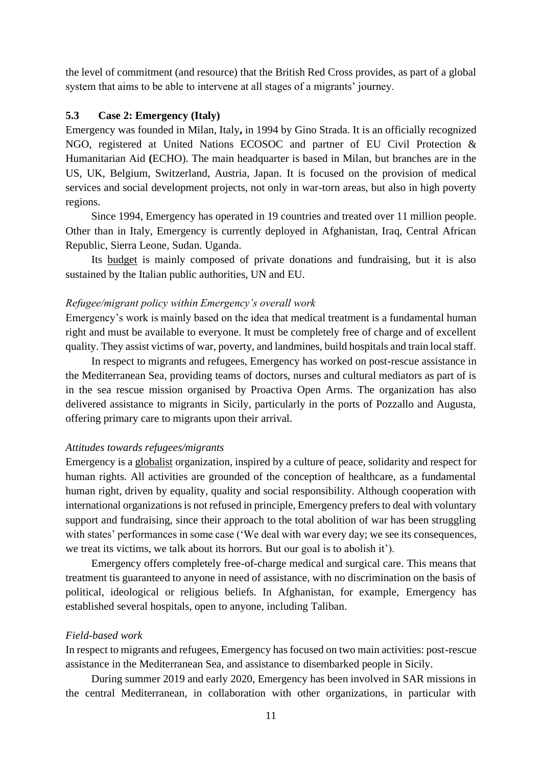the level of commitment (and resource) that the British Red Cross provides, as part of a global system that aims to be able to intervene at all stages of a migrants' journey.

# **5.3 Case 2: Emergency (Italy)**

Emergency was founded in Milan, Italy**,** in 1994 by Gino Strada. It is an officially recognized NGO, registered at United Nations ECOSOC and partner of EU Civil Protection & Humanitarian Aid **(**ECHO). The main headquarter is based in Milan, but branches are in the US, UK, Belgium, Switzerland, Austria, Japan. It is focused on the provision of medical services and social development projects, not only in war-torn areas, but also in high poverty regions.

Since 1994, Emergency has operated in 19 countries and treated over 11 million people. Other than in Italy, Emergency is currently deployed in Afghanistan, Iraq, Central African Republic, Sierra Leone, Sudan. Uganda.

Its [budget](https://en.emergency.it/balance-sheet/) is mainly composed of private donations and fundraising, but it is also sustained by the Italian public authorities, UN and EU.

#### *Refugee/migrant policy within Emergency's overall work*

Emergency's work is mainly based on the idea that medical treatment is a fundamental human right and must be available to everyone. It must be completely free of charge and of excellent quality. They assist victims of war, poverty, and landmines, build hospitals and train local staff.

In respect to migrants and refugees, Emergency has worked on post-rescue assistance in the Mediterranean Sea, providing teams of doctors, nurses and cultural mediators as part of is in the sea rescue mission organised by Proactiva Open Arms. The organization has also delivered assistance to migrants in Sicily, particularly in the ports of Pozzallo and Augusta, offering primary care to migrants upon their arrival.

# *Attitudes towards refugees/migrants*

Emergency is a [globalist](https://protectproject.w.uib.no/files/2021/06/D1.1-0verall-theoretical-perspective_website.pdf) organization, inspired by a culture of peace, solidarity and respect for human rights. All activities are grounded of the conception of healthcare, as a fundamental human right, driven by equality, quality and social responsibility. Although cooperation with international organizations is not refused in principle, Emergency prefers to deal with voluntary support and fundraising, since their approach to the total abolition of war has been struggling with states' performances in some case ('We deal with war every day; we see its consequences, we treat its victims, we talk about its horrors. But our goal is to abolish it').

Emergency offers completely free-of-charge medical and surgical care. This means that treatment tis guaranteed to anyone in need of assistance, with no discrimination on the basis of political, ideological or religious beliefs. In Afghanistan, for example, Emergency has established several hospitals, open to anyone, including Taliban.

#### *Field-based work*

In respect to migrants and refugees, Emergency has focused on two main activities: post-rescue assistance in the Mediterranean Sea, and assistance to disembarked people in Sicily.

During summer 2019 and early 2020, Emergency has been involved in SAR missions in the central Mediterranean, in collaboration with other organizations, in particular with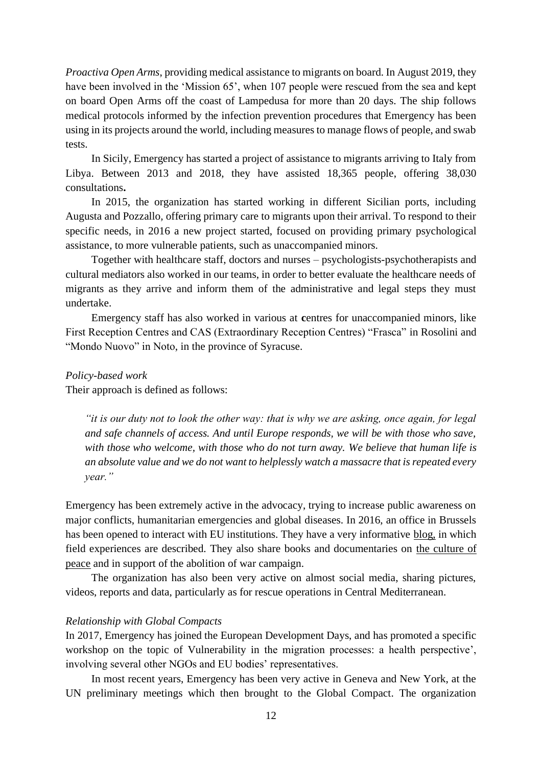*Proactiva Open Arms*, providing medical assistance to migrants on board. In August 2019, they have been involved in the 'Mission 65', when 107 people were rescued from the sea and kept on board Open Arms off the coast of Lampedusa for more than 20 days. The ship follows medical protocols informed by the infection prevention procedures that Emergency has been using in its projects around the world, including measures to manage flows of people, and swab tests.

In Sicily, Emergency has started a project of assistance to migrants arriving to Italy from Libya. Between 2013 and 2018, they have assisted 18,365 people, offering 38,030 consultations**.** 

In 2015, the organization has started working in different Sicilian ports, including Augusta and Pozzallo*,* offering primary care to migrants upon their arrival. To respond to their specific needs, in 2016 a new project started, focused on providing primary psychological assistance, to more vulnerable patients, such as unaccompanied minors.

Together with healthcare staff, doctors and nurses – psychologists-psychotherapists and cultural mediators also worked in our teams, in order to better evaluate the healthcare needs of migrants as they arrive and inform them of the administrative and legal steps they must undertake.

Emergency staff has also worked in various at **c**entres for unaccompanied minors, like First Reception Centres and CAS (Extraordinary Reception Centres) "Frasca" in Rosolini and "Mondo Nuovo" in Noto, in the province of Syracuse.

#### *Policy-based work*

Their approach is defined as follows:

*"it is our duty not to look the other way: that is why we are asking, once again, for legal and safe channels of access. And until Europe responds, we will be with those who save, with those who welcome, with those who do not turn away. We believe that human life is an absolute value and we do not want to helplessly watch a massacre that is repeated every year."*

Emergency has been extremely active in the advocacy, trying to increase public awareness on major conflicts, humanitarian emergencies and global diseases. In 2016, an office in Brussels has been opened to interact with EU institutions. They have a very informative [blog,](https://en.emergency.it/blog/) in which field experiences are described. They also share books and documentaries on [the culture of](https://en.emergency.it/culture-of-peace/abolishing-war-is-urgently-needed/)  [peace](https://en.emergency.it/culture-of-peace/abolishing-war-is-urgently-needed/) and in support of the abolition of war campaign.

The organization has also been very active on almost social media, sharing pictures, videos, reports and data, particularly as for rescue operations in Central Mediterranean.

#### *Relationship with Global Compacts*

In 2017, Emergency has joined the European Development Days, and has promoted a specific workshop on the topic of Vulnerability in the migration processes: a health perspective', involving several other NGOs and EU bodies' representatives.

In most recent years, Emergency has been very active in Geneva and New York, at the UN preliminary meetings which then brought to the Global Compact. The organization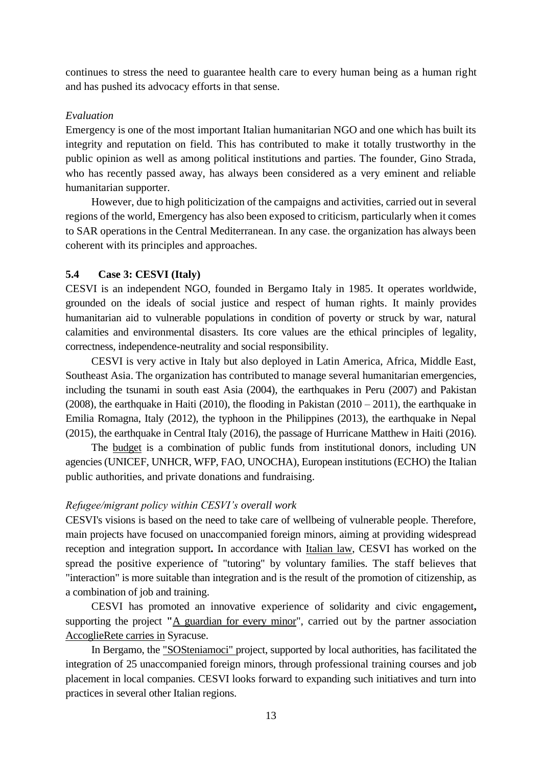continues to stress the need to guarantee health care to every human being as a human right and has pushed its advocacy efforts in that sense.

# *Evaluation*

Emergency is one of the most important Italian humanitarian NGO and one which has built its integrity and reputation on field. This has contributed to make it totally trustworthy in the public opinion as well as among political institutions and parties. The founder, Gino Strada, who has recently passed away, has always been considered as a very eminent and reliable humanitarian supporter.

However, due to high politicization of the campaigns and activities, carried out in several regions of the world, Emergency has also been exposed to criticism, particularly when it comes to SAR operations in the Central Mediterranean. In any case. the organization has always been coherent with its principles and approaches.

# **5.4 Case 3: CESVI (Italy)**

CESVI is an independent NGO, founded in Bergamo Italy in 1985. It operates worldwide, grounded on the ideals of social justice and respect of human rights. It mainly provides humanitarian aid to vulnerable populations in condition of poverty or struck by war, natural calamities and environmental disasters. Its core values are the ethical principles of legality, correctness, independence-neutrality and social responsibility.

CESVI is very active in Italy but also deployed in Latin America, Africa, Middle East, Southeast Asia. The organization has contributed to manage several humanitarian emergencies, including the tsunami in south east Asia (2004), the earthquakes in Peru (2007) and Pakistan (2008), the earthquake in Haiti (2010), the flooding in Pakistan (2010 – 2011), the earthquake in Emilia Romagna, Italy (2012), the typhoon in the Philippines (2013), the earthquake in Nepal (2015), the earthquake in Central Italy (2016), the passage of Hurricane Matthew in Haiti (2016).

The [budget](https://www.cesvi.eu/wp-content/uploads/2021/07/Annual_Report_2020_ENG.pdf) is a combination of public funds from institutional donors, including UN agencies (UNICEF, UNHCR, WFP, FAO, UNOCHA), European institutions (ECHO) the Italian public authorities, and private donations and fundraising.

# *Refugee/migrant policy within CESVI's overall work*

CESVI's visions is based on the need to take care of wellbeing of vulnerable people. Therefore, main projects have focused on unaccompanied foreign minors, aiming at providing widespread reception and integration support**.** In accordance with [Italian law,](https://www.cesvi.org/notizie/msna-la-riforma-del-sistema-accoglienza-legge/) CESVI has worked on the spread the positive experience of "tutoring" by voluntary families. The staff believes that "interaction" is more suitable than integration and is the result of the promotion of citizenship, as a combination of job and training.

CESVI has promoted an innovative experience of solidarity and civic engagement**,**  supporting the project **"**[A guardian for every minor"](https://www.cesvi.org/notizie/diventa-un-tutore-accogliente/), carried out by the partner association [AccoglieRete carries](http://www.accoglierete.org/it/) in Syracuse.

In Bergamo, the ["SOSteniamoci"](http://www.vita.it/it/article/2016/12/05/con-sosteniamoci-saranno-formati-25-minori-non-accompagnati/141862/) project, supported by local authorities, has facilitated the integration of 25 unaccompanied foreign minors, through professional training courses and job placement in local companies. CESVI looks forward to expanding such initiatives and turn into practices in several other Italian regions.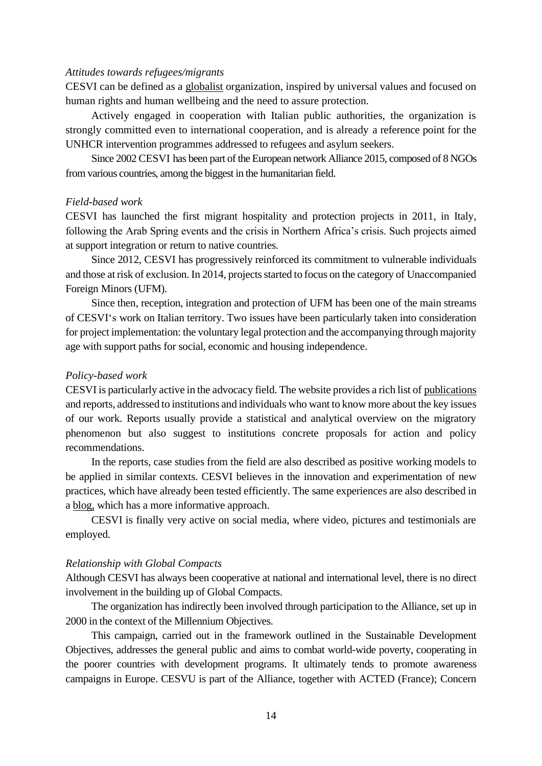# *Attitudes towards refugees/migrants*

CESVI can be defined as a [globalist](https://protectproject.w.uib.no/files/2021/06/D1.1-0verall-theoretical-perspective_website.pdf) organization, inspired by universal values and focused on human rights and human wellbeing and the need to assure protection.

Actively engaged in cooperation with Italian public authorities, the organization is strongly committed even to international cooperation, and is already a reference point for the UNHCR intervention programmes addressed to refugees and asylum seekers.

Since 2002 CESVI has been part of the European network Alliance 2015, composed of 8 NGOs from various countries, among the biggest in the humanitarian field.

#### *Field-based work*

CESVI has launched the first migrant hospitality and protection projects in 2011, in Italy, following the Arab Spring events and the crisis in Northern Africa's crisis. Such projects aimed at support integration or return to native countries.

Since 2012, CESVI has progressively reinforced its commitment to vulnerable individuals and those at risk of exclusion. In 2014, projects started to focus on the category of Unaccompanied Foreign Minors (UFM).

Since then, reception, integration and protection of UFM has been one of the main streams of CESVI's work on Italian territory. Two issues have been particularly taken into consideration for project implementation: the voluntary legal protection and the accompanying through majority age with support paths for social, economic and housing independence.

#### *Policy-based work*

CESVI is particularly active in the advocacy field. The website provides a rich list of [publications](https://www.cesvi.eu/what-we-do/publications/) and reports, addressed to institutions and individuals who want to know more about the key issues of our work. Reports usually provide a statistical and analytical overview on the migratory phenomenon but also suggest to institutions concrete proposals for action and policy recommendations.

In the reports, case studies from the field are also described as positive working models to be applied in similar contexts. CESVI believes in the innovation and experimentation of new practices, which have already been tested efficiently. The same experiences are also described in a [blog,](https://www.cesvi.eu/blog/) which has a more informative approach.

CESVI is finally very active on social media, where video, pictures and testimonials are employed.

#### *Relationship with Global Compacts*

Although CESVI has always been cooperative at national and international level, there is no direct involvement in the building up of Global Compacts.

The organization has indirectly been involved through participation to the Alliance, set up in 2000 in the context of the Millennium Objectives.

This campaign, carried out in the framework outlined in the Sustainable Development Objectives, addresses the general public and aims to combat world-wide poverty, cooperating in the poorer countries with development programs. It ultimately tends to promote awareness campaigns in Europe. CESVU is part of the Alliance, together with ACTED (France); Concern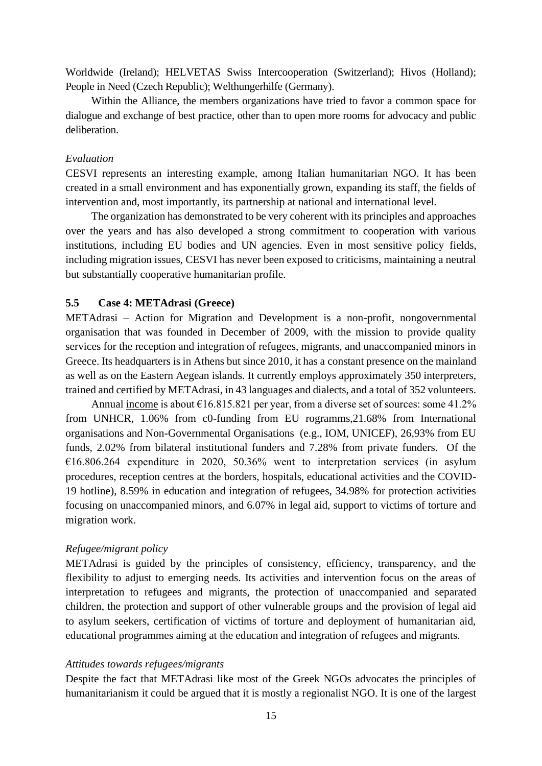Worldwide (Ireland); HELVETAS Swiss Intercooperation (Switzerland); Hivos (Holland); People in Need (Czech Republic); Welthungerhilfe (Germany).

Within the Alliance, the members organizations have tried to favor a common space for dialogue and exchange of best practice, other than to open more rooms for advocacy and public deliberation.

# *Evaluation*

CESVI represents an interesting example, among Italian humanitarian NGO. It has been created in a small environment and has exponentially grown, expanding its staff, the fields of intervention and, most importantly, its partnership at national and international level.

The organization has demonstrated to be very coherent with its principles and approaches over the years and has also developed a strong commitment to cooperation with various institutions, including EU bodies and UN agencies. Even in most sensitive policy fields, including migration issues, CESVI has never been exposed to criticisms, maintaining a neutral but substantially cooperative humanitarian profile.

# **5.5 Case 4: METAdrasi (Greece)**

METAdrasi – Action for Migration and Development is a non-profit, nongovernmental organisation that was founded in December of 2009, with the mission to provide quality services for the reception and integration of refugees, migrants, and unaccompanied minors in Greece. Its headquarters is in Athens but since 2010, it has a constant presence on the mainland as well as on the Eastern Aegean islands. It currently employs approximately 350 interpreters, trained and certified by METAdrasi, in 43 languages and dialects, and a total of 352 volunteers.

Annual [income](https://metadrasi.org/wp-content/uploads/2021/11/Annual-report-2020_EN.pdf) is about  $\epsilon$ 16.815.821 per year, from a diverse set of sources: some 41.2% from UNHCR, 1.06% from c0-funding from EU rogramms,21.68% from International organisations and Non-Governmental Organisations (e.g., IOM, UNICEF), 26,93% from EU funds, 2.02% from bilateral institutional funders and 7.28% from private funders. Of the €16.806.264 expenditure in 2020, 50.36% went to interpretation services (in asylum procedures, reception centres at the borders, hospitals, educational activities and the COVID-19 hotline), 8.59% in education and integration of refugees, 34.98% for protection activities focusing on unaccompanied minors, and 6.07% in legal aid, support to victims of torture and migration work.

#### *Refugee/migrant policy*

METAdrasi is guided by the principles of consistency, efficiency, transparency, and the flexibility to adjust to emerging needs. Its activities and intervention focus on the areas of interpretation to refugees and migrants, the protection of unaccompanied and separated children, the protection and support of other vulnerable groups and the provision of legal aid to asylum seekers, certification of victims of torture and deployment of humanitarian aid, educational programmes aiming at the education and integration of refugees and migrants.

#### *Attitudes towards refugees/migrants*

Despite the fact that METAdrasi like most of the Greek NGOs advocates the principles of humanitarianism it could be argued that it is mostly a regionalist NGO. It is one of the largest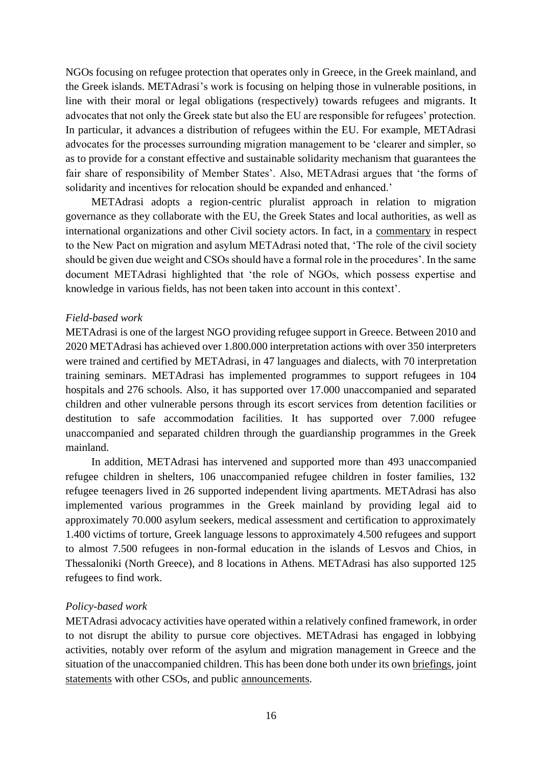NGOs focusing on refugee protection that operates only in Greece, in the Greek mainland, and the Greek islands. METAdrasi's work is focusing on helping those in vulnerable positions, in line with their moral or legal obligations (respectively) towards refugees and migrants. It advocates that not only the Greek state but also the EU are responsible for refugees' protection. In particular, it advances a distribution of refugees within the EU. For example, METAdrasi advocates for the processes surrounding migration management to be 'clearer and simpler, so as to provide for a constant effective and sustainable solidarity mechanism that guarantees the fair share of responsibility of Member States'. Also, METAdrasi argues that 'the forms of solidarity and incentives for relocation should be expanded and enhanced.'

METAdrasi adopts a region-centric pluralist approach in relation to migration governance as they collaborate with the EU, the Greek States and local authorities, as well as international organizations and other Civil society actors. In fact, in a [commentary](https://metadrasi.org/en/new-eu-pact-on-asylum-and-migration/) in respect to the New Pact on migration and asylum METAdrasi noted that, 'The role of the civil society should be given due weight and CSOs should have a formal role in the procedures'. In the same document METAdrasi highlighted that 'the role of NGOs, which possess expertise and knowledge in various fields, has not been taken into account in this context'.

# *Field-based work*

METAdrasi is one of the largest NGO providing refugee support in Greece. Between 2010 and 2020 METAdrasi has achieved over 1.800.000 interpretation actions with over 350 interpreters were trained and certified by METAdrasi, in 47 languages and dialects, with 70 interpretation training seminars. METAdrasi has implemented programmes to support refugees in 104 hospitals and 276 schools. Also, it has supported over 17.000 unaccompanied and separated children and other vulnerable persons through its escort services from detention facilities or destitution to safe accommodation facilities. It has supported over 7.000 refugee unaccompanied and separated children through the guardianship programmes in the Greek mainland.

In addition, METAdrasi has intervened and supported more than 493 unaccompanied refugee children in shelters, 106 unaccompanied refugee children in foster families, 132 refugee teenagers lived in 26 supported independent living apartments. METAdrasi has also implemented various programmes in the Greek mainland by providing legal aid to approximately 70.000 asylum seekers, medical assessment and certification to approximately 1.400 victims of torture, Greek language lessons to approximately 4.500 refugees and support to almost 7.500 refugees in non-formal education in the islands of Lesvos and Chios, in Thessaloniki (North Greece), and 8 locations in Athens. METAdrasi has also supported 125 refugees to find work.

#### *Policy-based work*

METAdrasi advocacy activities have operated within a relatively confined framework, in order to not disrupt the ability to pursue core objectives. METAdrasi has engaged in lobbying activities, notably over reform of the asylum and migration management in Greece and the situation of the unaccompanied children. This has been done both under its own [briefings,](https://metadrasi.org/wp-content/uploads/2021/12/METAdrasi-observations-on-the-Regulation-for-Asylum-and-Migration.pdf) joint [statements](https://metadrasi.org/en/meanwhile-people-still-dying-en/) with other CSOs, and public [announcements.](https://metadrasi.org/en/new-eu-pact-on-asylum-and-migration/)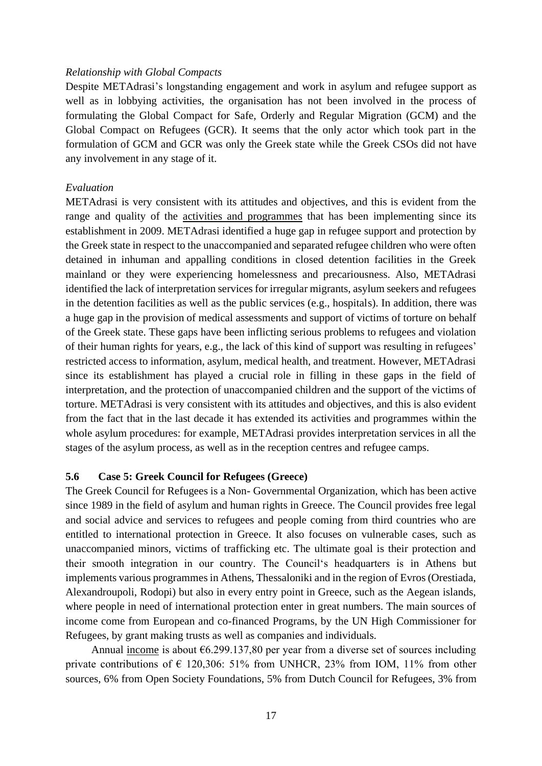#### *Relationship with Global Compacts*

Despite METAdrasi's longstanding engagement and work in asylum and refugee support as well as in lobbying activities, the organisation has not been involved in the process of formulating the Global Compact for Safe, Orderly and Regular Migration (GCM) and the Global Compact on Refugees (GCR). It seems that the only actor which took part in the formulation of GCM and GCR was only the Greek state while the Greek CSOs did not have any involvement in any stage of it.

#### *Evaluation*

METAdrasi is very consistent with its attitudes and objectives, and this is evident from the range and quality of the [activities and programmes](https://metadrasi.org/en/our-activities/) that has been implementing since its establishment in 2009. METAdrasi identified a huge gap in refugee support and protection by the Greek state in respect to the unaccompanied and separated refugee children who were often detained in inhuman and appalling conditions in closed detention facilities in the Greek mainland or they were experiencing homelessness and precariousness. Also, METAdrasi identified the lack of interpretation services for irregular migrants, asylum seekers and refugees in the detention facilities as well as the public services (e.g., hospitals). In addition, there was a huge gap in the provision of medical assessments and support of victims of torture on behalf of the Greek state. These gaps have been inflicting serious problems to refugees and violation of their human rights for years, e.g., the lack of this kind of support was resulting in refugees' restricted access to information, asylum, medical health, and treatment. However, METAdrasi since its establishment has played a crucial role in filling in these gaps in the field of interpretation, and the protection of unaccompanied children and the support of the victims of torture. METAdrasi is very consistent with its attitudes and objectives, and this is also evident from the fact that in the last decade it has extended its activities and programmes within the whole asylum procedures: for example, METAdrasi provides interpretation services in all the stages of the asylum process, as well as in the reception centres and refugee camps.

# **5.6 Case 5: Greek Council for Refugees (Greece)**

The Greek Council for Refugees is a Non- Governmental Organization, which has been active since 1989 in the field of asylum and human rights in Greece. The Council provides free legal and social advice and services to refugees and people coming from third countries who are entitled to international protection in Greece. It also focuses on vulnerable cases, such as unaccompanied minors, victims of trafficking etc. The ultimate goal is their protection and their smooth integration in our country. The Council's headquarters is in Athens but implements various programmes in Athens, Thessaloniki and in the region of Evros (Orestiada, Alexandroupoli, Rodopi) but also in every entry point in Greece, such as the Aegean islands, where people in need of international protection enter in great numbers. The main sources of income come from European and co-financed Programs, by the UN High Commissioner for Refugees, by grant making trusts as well as companies and individuals.

Annual [income](https://www.gcr.gr/media/k2/attachments/annual_report_2020_EN.pdf) is about  $6.299.137,80$  per year from a diverse set of sources including private contributions of  $\epsilon$  120,306: 51% from UNHCR, 23% from IOM, 11% from other sources, 6% from Open Society Foundations, 5% from Dutch Council for Refugees, 3% from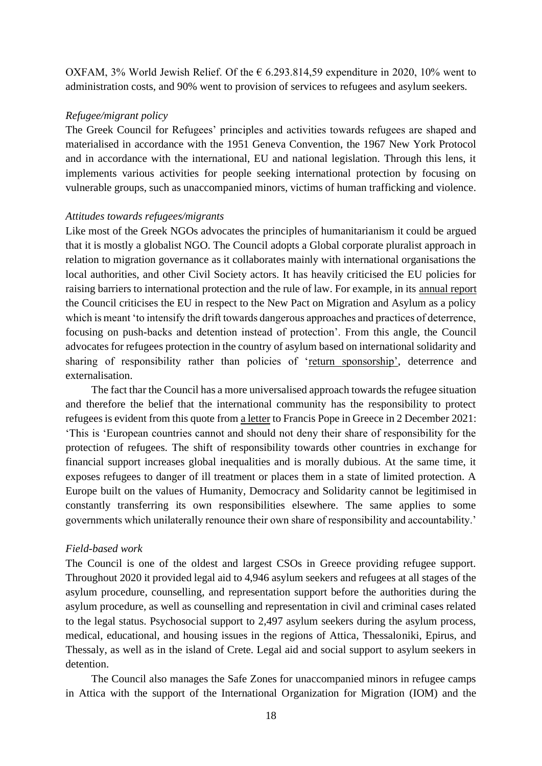OXFAM, 3% World Jewish Relief. Of the  $\epsilon$  6.293.814,59 expenditure in 2020, 10% went to administration costs, and 90% went to provision of services to refugees and asylum seekers.

#### *Refugee/migrant policy*

The Greek Council for Refugees' principles and activities towards refugees are shaped and materialised in accordance with the 1951 Geneva Convention, the 1967 New York Protocol and in accordance with the international, EU and national legislation. Through this lens, it implements various activities for people seeking international protection by focusing on vulnerable groups, such as unaccompanied minors, victims of human trafficking and violence.

#### *Attitudes towards refugees/migrants*

Like most of the Greek NGOs advocates the principles of humanitarianism it could be argued that it is mostly a globalist NGO. The Council adopts a Global corporate pluralist approach in relation to migration governance as it collaborates mainly with international organisations the local authorities, and other Civil Society actors. It has heavily criticised the EU policies for raising barriers to international protection and the rule of law. For example, in its [annual report](https://www.gcr.gr/media/k2/attachments/annual_report_2020_EN.pdf) the Council criticises the EU in respect to the New Pact on Migration and Asylum as a policy which is meant 'to intensify the drift towards dangerous approaches and practices of deterrence, focusing on push-backs and detention instead of protection'. From this angle, the Council advocates for refugees protection in the country of asylum based on international solidarity and sharing of responsibility rather than policies of ['return sponsorship',](https://www.gcr.gr/en/news/press-releases-announcements/item/1541-joint-statement-the-pact-on-migration-and-asylum-to-provide-a-fresh-start-and-avoid-past-mistakes-risky-elements-need-to-be-addressed-and-positive-aspects-need-to-be-expanded) deterrence and externalisation.

The fact thar the Council has a more universalised approach towards the refugee situation and therefore the belief that the international community has the responsibility to protect refugees is evident from this quote from [a letter](https://www.gcr.gr/media/k2/attachments/Letter_for_His_Holiness.pdf) to Francis Pope in Greece in 2 December 2021: 'This is 'European countries cannot and should not deny their share of responsibility for the protection of refugees. The shift of responsibility towards other countries in exchange for financial support increases global inequalities and is morally dubious. At the same time, it exposes refugees to danger of ill treatment or places them in a state of limited protection. A Europe built on the values of Humanity, Democracy and Solidarity cannot be legitimised in constantly transferring its own responsibilities elsewhere. The same applies to some governments which unilaterally renounce their own share of responsibility and accountability.'

#### *Field-based work*

The Council is one of the oldest and largest CSOs in Greece providing refugee support. Throughout 2020 it provided legal aid to 4,946 asylum seekers and refugees at all stages of the asylum procedure, counselling, and representation support before the authorities during the asylum procedure, as well as counselling and representation in civil and criminal cases related to the legal status. Psychosocial support to 2,497 asylum seekers during the asylum process, medical, educational, and housing issues in the regions of Attica, Thessaloniki, Epirus, and Thessaly, as well as in the island of Crete. Legal aid and social support to asylum seekers in detention.

The Council also manages the Safe Zones for unaccompanied minors in refugee camps in Attica with the support of the International Organization for Migration (IOM) and the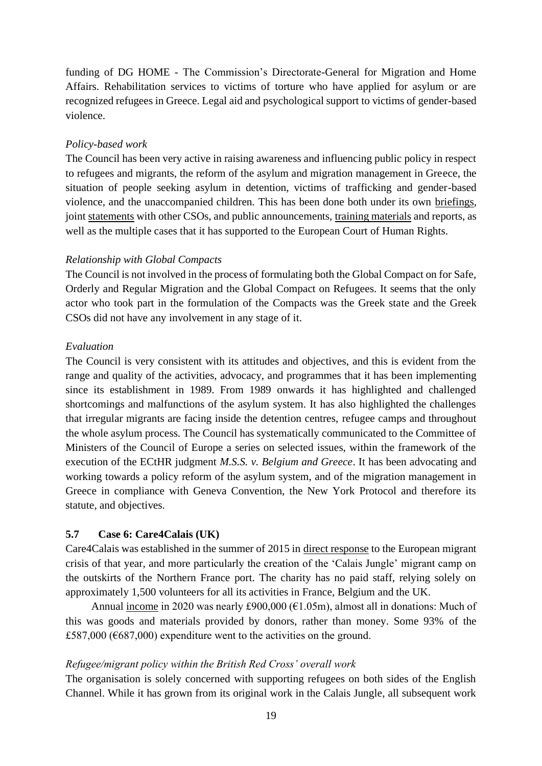funding of DG HOME - The Commission's Directorate-General for Migration and Home Affairs. Rehabilitation services to victims of torture who have applied for asylum or are recognized refugees in Greece. Legal aid and psychological support to victims of gender-based violence.

#### *Policy-based work*

The Council has been very active in raising awareness and influencing public policy in respect to refugees and migrants, the reform of the asylum and migration management in Greece, the situation of people seeking asylum in detention, victims of trafficking and gender-based violence, and the unaccompanied children. This has been done both under its own [briefings,](https://www.gcr.gr/en/ekdoseis-media/reports/reports/item/1835-sci-2021) join[t statements](https://www.gcr.gr/en/news/press-releases-announcements/item/1541-joint-statement-the-pact-on-migration-and-asylum-to-provide-a-fresh-start-and-avoid-past-mistakes-risky-elements-need-to-be-addressed-and-positive-aspects-need-to-be-expanded) with other CSOs, and public announcements, [training materials](https://www.gcr.gr/en/ekdoseis-media/reports/reports/item/1836-training-materials-on-access-to-justice-for-migrants) and reports, as well as the multiple cases that it has supported to the European Court of Human Rights.

# *Relationship with Global Compacts*

The Council is not involved in the process of formulating both the Global Compact on for Safe, Orderly and Regular Migration and the Global Compact on Refugees. It seems that the only actor who took part in the formulation of the Compacts was the Greek state and the Greek CSOs did not have any involvement in any stage of it.

# *Evaluation*

The Council is very consistent with its attitudes and objectives, and this is evident from the range and quality of the activities, advocacy, and programmes that it has been implementing since its establishment in 1989. From 1989 onwards it has highlighted and challenged shortcomings and malfunctions of the asylum system. It has also highlighted the challenges that irregular migrants are facing inside the detention centres, refugee camps and throughout the whole asylum process. The Council has systematically communicated to the Committee of Ministers of the Council of Europe a series on selected issues, within the framework of the execution of the ECtHR judgment *M.S.S. v. Belgium and Greece*. It has been advocating and working towards a policy reform of the asylum system, and of the migration management in Greece in compliance with Geneva Convention, the New York Protocol and therefore its statute, and objectives.

# **5.7 Case 6: Care4Calais (UK)**

Care4Calais was established in the summer of 2015 in [direct response](https://www.theguardian.com/commentisfree/2015/dec/18/refugees-calais-friends-need-help) to the European migrant crisis of that year, and more particularly the creation of the 'Calais Jungle' migrant camp on the outskirts of the Northern France port. The charity has no paid staff, relying solely on approximately 1,500 volunteers for all its activities in France, Belgium and the UK.

Annual [income](https://register-of-charities.charitycommission.gov.uk/charity-search/-/charity-details/5072772) in 2020 was nearly £900,000 (€1.05m), almost all in donations: Much of this was goods and materials provided by donors, rather than money. Some 93% of the £587,000 ( $6687,000$ ) expenditure went to the activities on the ground.

#### *Refugee/migrant policy within the British Red Cross' overall work*

The organisation is solely concerned with supporting refugees on both sides of the English Channel. While it has grown from its original work in the Calais Jungle, all subsequent work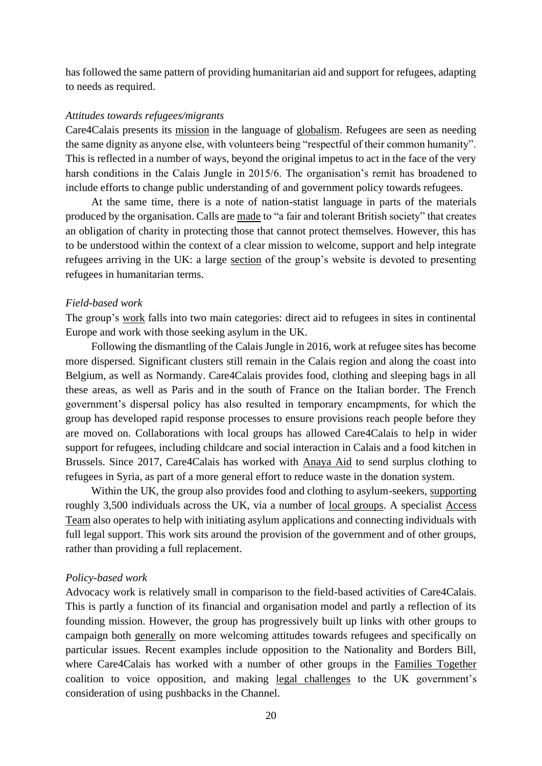has followed the same pattern of providing humanitarian aid and support for refugees, adapting to needs as required.

#### *Attitudes towards refugees/migrants*

Care4Calais presents its [mission](https://care4calais.org/about-us/who-we-are/) in the language of [globalism.](https://protectproject.w.uib.no/files/2021/06/D1.1-0verall-theoretical-perspective_website.pdf) Refugees are seen as needing the same dignity as anyone else, with volunteers being "respectful of their common humanity". This is reflected in a number of ways, beyond the original impetus to act in the face of the very harsh conditions in the Calais Jungle in 2015/6. The organisation's remit has broadened to include efforts to change public understanding of and government policy towards refugees.

At the same time, there is a note of nation-statist language in parts of the materials produced by the organisation. Calls are [made](https://care4calais.org/about-us/who-we-are/) to "a fair and tolerant British society" that creates an obligation of charity in protecting those that cannot protect themselves. However, this has to be understood within the context of a clear mission to welcome, support and help integrate refugees arriving in the UK: a large [section](https://care4calais.org/the-refugee-crisis/) of the group's website is devoted to presenting refugees in humanitarian terms.

#### *Field-based work*

The group's [work](https://care4calais.org/about-us/what-we-do/) falls into two main categories: direct aid to refugees in sites in continental Europe and work with those seeking asylum in the UK.

Following the dismantling of the Calais Jungle in 2016, work at refugee sites has become more dispersed. Significant clusters still remain in the Calais region and along the coast into Belgium, as well as Normandy. Care4Calais provides food, clothing and sleeping bags in all these areas, as well as Paris and in the south of France on the Italian border. The French government's dispersal policy has also resulted in temporary encampments, for which the group has developed rapid response processes to ensure provisions reach people before they are moved on. Collaborations with local groups has allowed Care4Calais to help in wider support for refugees, including childcare and social interaction in Calais and a food kitchen in Brussels. Since 2017, Care4Calais has worked with [Anaya Aid](https://care4calais.org/about-us/what-we-do/syria/) to send surplus clothing to refugees in Syria, as part of a more general effort to reduce waste in the donation system.

Within the UK, the group also provides food and clothing to asylum-seekers, [supporting](https://care4calais.org/about-us/what-we-do/uk-hotels-direct-aid/) roughly 3,500 individuals across the UK, via a number of [local groups.](https://care4calais.org/uk-groups/) A specialist [Access](https://care4calais.org/about-us/what-we-do/uk-access-to-legal-support/)  [Team](https://care4calais.org/about-us/what-we-do/uk-access-to-legal-support/) also operates to help with initiating asylum applications and connecting individuals with full legal support. This work sits around the provision of the government and of other groups, rather than providing a full replacement.

#### *Policy-based work*

Advocacy work is relatively small in comparison to the field-based activities of Care4Calais. This is partly a function of its financial and organisation model and partly a reflection of its founding mission. However, the group has progressively built up links with other groups to campaign both [generally](https://care4calais.org/about-us/what-we-do/stand-up-to-racism/) on more welcoming attitudes towards refugees and specifically on particular issues. Recent examples include opposition to the Nationality and Borders Bill, where Care4Calais has worked with a number of other groups in the [Families Together](https://familiestogether.uk/) coalition to voice opposition, and making [legal challenges](https://www.theguardian.com/uk-news/2021/nov/25/priti-patel-faces-three-legal-challenges-refugee-pushback-plans) to the UK government's consideration of using pushbacks in the Channel.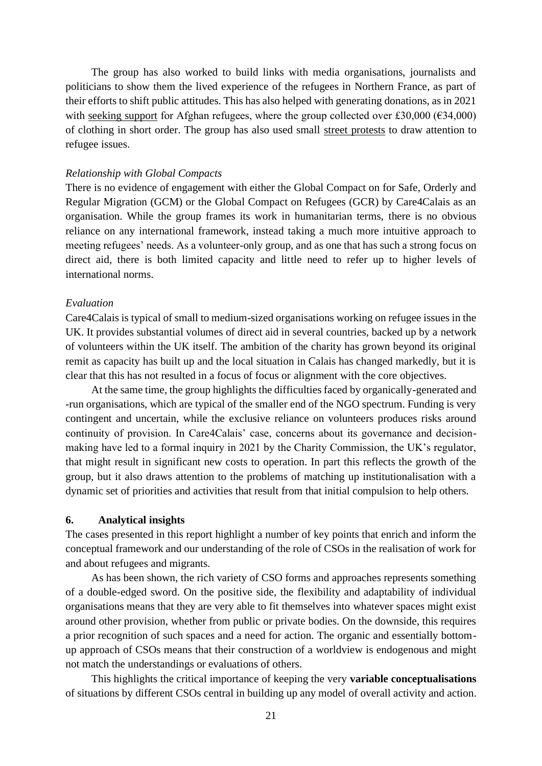The group has also worked to build links with media organisations, journalists and politicians to show them the lived experience of the refugees in Northern France, as part of their efforts to shift public attitudes. This has also helped with generating donations, as in 2021 with [seeking support](https://www.itv.com/news/granada/2021-08-23/charity-inundated-with-donations-for-afghan-refugees) for Afghan refugees, where the group collected over £30,000 ( $\epsilon$ 34,000) of clothing in short order. The group has also used small [street protests](https://metro.co.uk/2021/11/27/downing-street-150-join-protest-over-27-dead-in-english-channel-15675662/) to draw attention to refugee issues.

#### *Relationship with Global Compacts*

There is no evidence of engagement with either the Global Compact on for Safe, Orderly and Regular Migration (GCM) or the Global Compact on Refugees (GCR) by Care4Calais as an organisation. While the group frames its work in humanitarian terms, there is no obvious reliance on any international framework, instead taking a much more intuitive approach to meeting refugees' needs. As a volunteer-only group, and as one that has such a strong focus on direct aid, there is both limited capacity and little need to refer up to higher levels of international norms.

#### *Evaluation*

Care4Calais is typical of small to medium-sized organisations working on refugee issues in the UK. It provides substantial volumes of direct aid in several countries, backed up by a network of volunteers within the UK itself. The ambition of the charity has grown beyond its original remit as capacity has built up and the local situation in Calais has changed markedly, but it is clear that this has not resulted in a focus of focus or alignment with the core objectives.

At the same time, the group highlights the difficulties faced by organically-generated and -run organisations, which are typical of the smaller end of the NGO spectrum. Funding is very contingent and uncertain, while the exclusive reliance on volunteers produces risks around continuity of provision. In Care4Calais' case, concerns about its governance and decisionmaking have led to a formal inquiry in 2021 by the Charity Commission, the UK's regulator, that might result in significant new costs to operation. In part this reflects the growth of the group, but it also draws attention to the problems of matching up institutionalisation with a dynamic set of priorities and activities that result from that initial compulsion to help others.

# **6. Analytical insights**

The cases presented in this report highlight a number of key points that enrich and inform the conceptual framework and our understanding of the role of CSOs in the realisation of work for and about refugees and migrants.

As has been shown, the rich variety of CSO forms and approaches represents something of a double-edged sword. On the positive side, the flexibility and adaptability of individual organisations means that they are very able to fit themselves into whatever spaces might exist around other provision, whether from public or private bodies. On the downside, this requires a prior recognition of such spaces and a need for action. The organic and essentially bottomup approach of CSOs means that their construction of a worldview is endogenous and might not match the understandings or evaluations of others.

This highlights the critical importance of keeping the very **variable conceptualisations** of situations by different CSOs central in building up any model of overall activity and action.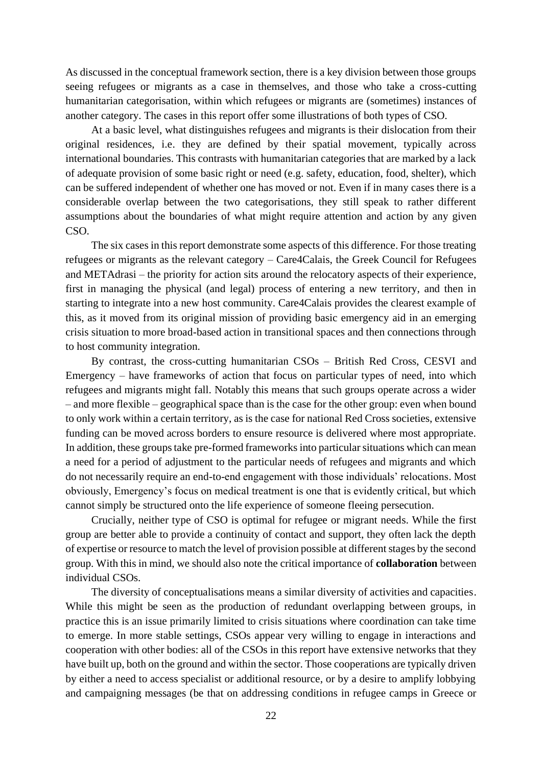As discussed in the conceptual framework section, there is a key division between those groups seeing refugees or migrants as a case in themselves, and those who take a cross-cutting humanitarian categorisation, within which refugees or migrants are (sometimes) instances of another category. The cases in this report offer some illustrations of both types of CSO.

At a basic level, what distinguishes refugees and migrants is their dislocation from their original residences, i.e. they are defined by their spatial movement, typically across international boundaries. This contrasts with humanitarian categories that are marked by a lack of adequate provision of some basic right or need (e.g. safety, education, food, shelter), which can be suffered independent of whether one has moved or not. Even if in many cases there is a considerable overlap between the two categorisations, they still speak to rather different assumptions about the boundaries of what might require attention and action by any given CSO.

The six cases in this report demonstrate some aspects of this difference. For those treating refugees or migrants as the relevant category – Care4Calais, the Greek Council for Refugees and METAdrasi – the priority for action sits around the relocatory aspects of their experience, first in managing the physical (and legal) process of entering a new territory, and then in starting to integrate into a new host community. Care4Calais provides the clearest example of this, as it moved from its original mission of providing basic emergency aid in an emerging crisis situation to more broad-based action in transitional spaces and then connections through to host community integration.

By contrast, the cross-cutting humanitarian CSOs – British Red Cross, CESVI and Emergency – have frameworks of action that focus on particular types of need, into which refugees and migrants might fall. Notably this means that such groups operate across a wider – and more flexible – geographical space than is the case for the other group: even when bound to only work within a certain territory, as is the case for national Red Cross societies, extensive funding can be moved across borders to ensure resource is delivered where most appropriate. In addition, these groups take pre-formed frameworks into particular situations which can mean a need for a period of adjustment to the particular needs of refugees and migrants and which do not necessarily require an end-to-end engagement with those individuals' relocations. Most obviously, Emergency's focus on medical treatment is one that is evidently critical, but which cannot simply be structured onto the life experience of someone fleeing persecution.

Crucially, neither type of CSO is optimal for refugee or migrant needs. While the first group are better able to provide a continuity of contact and support, they often lack the depth of expertise or resource to match the level of provision possible at different stages by the second group. With this in mind, we should also note the critical importance of **collaboration** between individual CSOs.

The diversity of conceptualisations means a similar diversity of activities and capacities. While this might be seen as the production of redundant overlapping between groups, in practice this is an issue primarily limited to crisis situations where coordination can take time to emerge. In more stable settings, CSOs appear very willing to engage in interactions and cooperation with other bodies: all of the CSOs in this report have extensive networks that they have built up, both on the ground and within the sector. Those cooperations are typically driven by either a need to access specialist or additional resource, or by a desire to amplify lobbying and campaigning messages (be that on addressing conditions in refugee camps in Greece or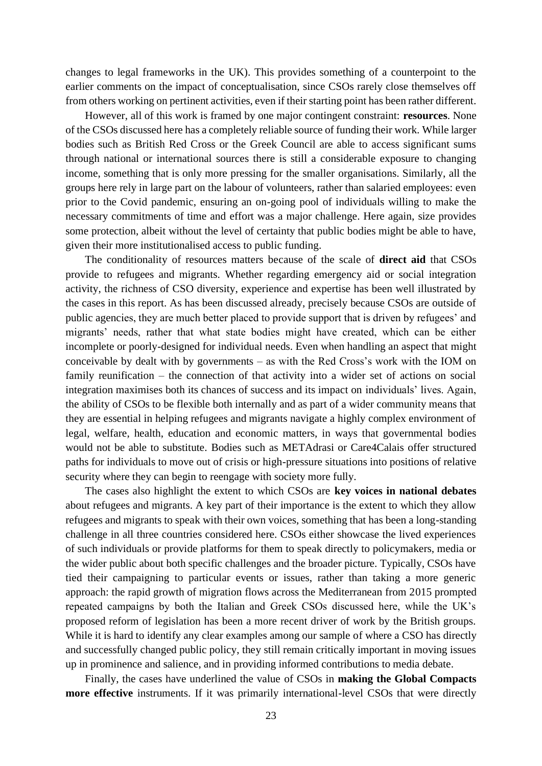changes to legal frameworks in the UK). This provides something of a counterpoint to the earlier comments on the impact of conceptualisation, since CSOs rarely close themselves off from others working on pertinent activities, even if their starting point has been rather different.

However, all of this work is framed by one major contingent constraint: **resources**. None of the CSOs discussed here has a completely reliable source of funding their work. While larger bodies such as British Red Cross or the Greek Council are able to access significant sums through national or international sources there is still a considerable exposure to changing income, something that is only more pressing for the smaller organisations. Similarly, all the groups here rely in large part on the labour of volunteers, rather than salaried employees: even prior to the Covid pandemic, ensuring an on-going pool of individuals willing to make the necessary commitments of time and effort was a major challenge. Here again, size provides some protection, albeit without the level of certainty that public bodies might be able to have, given their more institutionalised access to public funding.

The conditionality of resources matters because of the scale of **direct aid** that CSOs provide to refugees and migrants. Whether regarding emergency aid or social integration activity, the richness of CSO diversity, experience and expertise has been well illustrated by the cases in this report. As has been discussed already, precisely because CSOs are outside of public agencies, they are much better placed to provide support that is driven by refugees' and migrants' needs, rather that what state bodies might have created, which can be either incomplete or poorly-designed for individual needs. Even when handling an aspect that might conceivable by dealt with by governments – as with the Red Cross's work with the IOM on family reunification – the connection of that activity into a wider set of actions on social integration maximises both its chances of success and its impact on individuals' lives. Again, the ability of CSOs to be flexible both internally and as part of a wider community means that they are essential in helping refugees and migrants navigate a highly complex environment of legal, welfare, health, education and economic matters, in ways that governmental bodies would not be able to substitute. Bodies such as METAdrasi or Care4Calais offer structured paths for individuals to move out of crisis or high-pressure situations into positions of relative security where they can begin to reengage with society more fully.

The cases also highlight the extent to which CSOs are **key voices in national debates** about refugees and migrants. A key part of their importance is the extent to which they allow refugees and migrants to speak with their own voices, something that has been a long-standing challenge in all three countries considered here. CSOs either showcase the lived experiences of such individuals or provide platforms for them to speak directly to policymakers, media or the wider public about both specific challenges and the broader picture. Typically, CSOs have tied their campaigning to particular events or issues, rather than taking a more generic approach: the rapid growth of migration flows across the Mediterranean from 2015 prompted repeated campaigns by both the Italian and Greek CSOs discussed here, while the UK's proposed reform of legislation has been a more recent driver of work by the British groups. While it is hard to identify any clear examples among our sample of where a CSO has directly and successfully changed public policy, they still remain critically important in moving issues up in prominence and salience, and in providing informed contributions to media debate.

Finally, the cases have underlined the value of CSOs in **making the Global Compacts more effective** instruments. If it was primarily international-level CSOs that were directly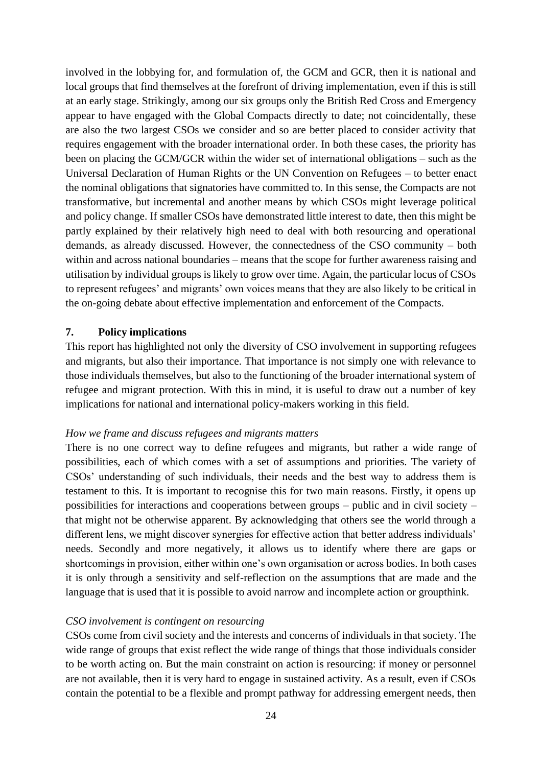involved in the lobbying for, and formulation of, the GCM and GCR, then it is national and local groups that find themselves at the forefront of driving implementation, even if this is still at an early stage. Strikingly, among our six groups only the British Red Cross and Emergency appear to have engaged with the Global Compacts directly to date; not coincidentally, these are also the two largest CSOs we consider and so are better placed to consider activity that requires engagement with the broader international order. In both these cases, the priority has been on placing the GCM/GCR within the wider set of international obligations – such as the Universal Declaration of Human Rights or the UN Convention on Refugees – to better enact the nominal obligations that signatories have committed to. In this sense, the Compacts are not transformative, but incremental and another means by which CSOs might leverage political and policy change. If smaller CSOs have demonstrated little interest to date, then this might be partly explained by their relatively high need to deal with both resourcing and operational demands, as already discussed. However, the connectedness of the CSO community – both within and across national boundaries – means that the scope for further awareness raising and utilisation by individual groups is likely to grow over time. Again, the particular locus of CSOs to represent refugees' and migrants' own voices means that they are also likely to be critical in the on-going debate about effective implementation and enforcement of the Compacts.

# **7. Policy implications**

This report has highlighted not only the diversity of CSO involvement in supporting refugees and migrants, but also their importance. That importance is not simply one with relevance to those individuals themselves, but also to the functioning of the broader international system of refugee and migrant protection. With this in mind, it is useful to draw out a number of key implications for national and international policy-makers working in this field.

#### *How we frame and discuss refugees and migrants matters*

There is no one correct way to define refugees and migrants, but rather a wide range of possibilities, each of which comes with a set of assumptions and priorities. The variety of CSOs' understanding of such individuals, their needs and the best way to address them is testament to this. It is important to recognise this for two main reasons. Firstly, it opens up possibilities for interactions and cooperations between groups – public and in civil society – that might not be otherwise apparent. By acknowledging that others see the world through a different lens, we might discover synergies for effective action that better address individuals' needs. Secondly and more negatively, it allows us to identify where there are gaps or shortcomings in provision, either within one's own organisation or across bodies. In both cases it is only through a sensitivity and self-reflection on the assumptions that are made and the language that is used that it is possible to avoid narrow and incomplete action or groupthink.

# *CSO involvement is contingent on resourcing*

CSOs come from civil society and the interests and concerns of individuals in that society. The wide range of groups that exist reflect the wide range of things that those individuals consider to be worth acting on. But the main constraint on action is resourcing: if money or personnel are not available, then it is very hard to engage in sustained activity. As a result, even if CSOs contain the potential to be a flexible and prompt pathway for addressing emergent needs, then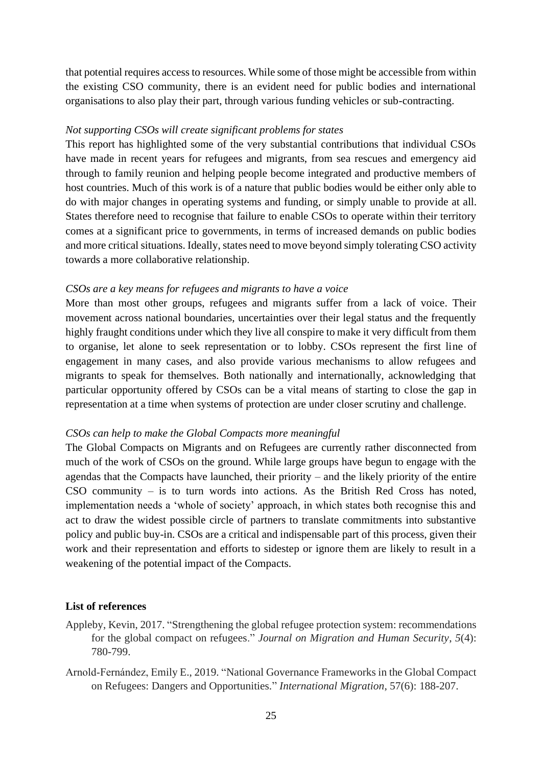that potential requires access to resources. While some of those might be accessible from within the existing CSO community, there is an evident need for public bodies and international organisations to also play their part, through various funding vehicles or sub-contracting.

#### *Not supporting CSOs will create significant problems for states*

This report has highlighted some of the very substantial contributions that individual CSOs have made in recent years for refugees and migrants, from sea rescues and emergency aid through to family reunion and helping people become integrated and productive members of host countries. Much of this work is of a nature that public bodies would be either only able to do with major changes in operating systems and funding, or simply unable to provide at all. States therefore need to recognise that failure to enable CSOs to operate within their territory comes at a significant price to governments, in terms of increased demands on public bodies and more critical situations. Ideally, states need to move beyond simply tolerating CSO activity towards a more collaborative relationship.

# *CSOs are a key means for refugees and migrants to have a voice*

More than most other groups, refugees and migrants suffer from a lack of voice. Their movement across national boundaries, uncertainties over their legal status and the frequently highly fraught conditions under which they live all conspire to make it very difficult from them to organise, let alone to seek representation or to lobby. CSOs represent the first line of engagement in many cases, and also provide various mechanisms to allow refugees and migrants to speak for themselves. Both nationally and internationally, acknowledging that particular opportunity offered by CSOs can be a vital means of starting to close the gap in representation at a time when systems of protection are under closer scrutiny and challenge.

# *CSOs can help to make the Global Compacts more meaningful*

The Global Compacts on Migrants and on Refugees are currently rather disconnected from much of the work of CSOs on the ground. While large groups have begun to engage with the agendas that the Compacts have launched, their priority – and the likely priority of the entire CSO community – is to turn words into actions. As the British Red Cross has noted, implementation needs a 'whole of society' approach, in which states both recognise this and act to draw the widest possible circle of partners to translate commitments into substantive policy and public buy-in. CSOs are a critical and indispensable part of this process, given their work and their representation and efforts to sidestep or ignore them are likely to result in a weakening of the potential impact of the Compacts.

#### **List of references**

- Appleby, Kevin, 2017. "Strengthening the global refugee protection system: recommendations for the global compact on refugees." *Journal on Migration and Human Security*, *5*(4): 780-799.
- Arnold‐Fernández, Emily E., 2019. "National Governance Frameworks in the Global Compact on Refugees: Dangers and Opportunities." *International Migration*, 57(6): 188-207.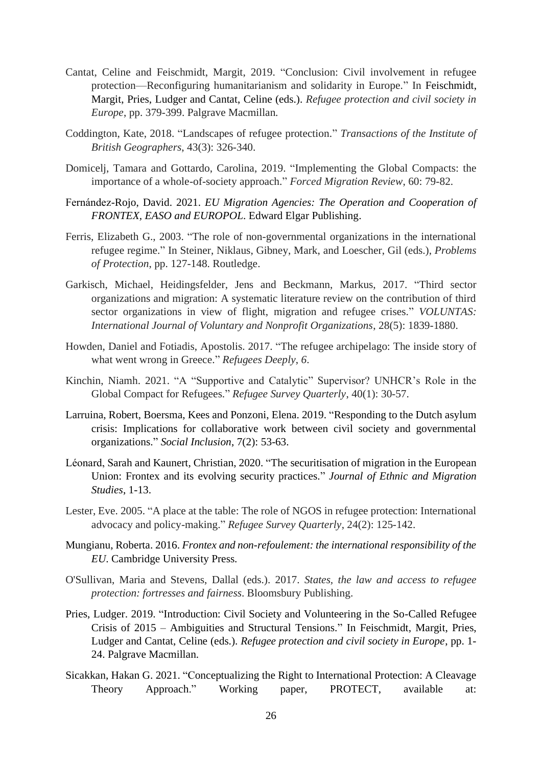- Cantat, Celine and Feischmidt, Margit, 2019. "Conclusion: Civil involvement in refugee protection—Reconfiguring humanitarianism and solidarity in Europe." In Feischmidt, Margit, Pries, Ludger and Cantat, Celine (eds.). *Refugee protection and civil society in Europe*, pp. 379-399. Palgrave Macmillan.
- Coddington, Kate, 2018. "Landscapes of refugee protection." *Transactions of the Institute of British Geographers*, 43(3): 326-340.
- Domicelj, Tamara and Gottardo, Carolina, 2019. "Implementing the Global Compacts: the importance of a whole-of-society approach." *Forced Migration Review*, 60: 79-82.
- Fernández-Rojo, David. 2021. *EU Migration Agencies: The Operation and Cooperation of FRONTEX, EASO and EUROPOL*. Edward Elgar Publishing.
- Ferris, Elizabeth G., 2003. "The role of non-governmental organizations in the international refugee regime." In Steiner, Niklaus, Gibney, Mark, and Loescher, Gil (eds.), *Problems of Protection*, pp. 127-148. Routledge.
- Garkisch, Michael, Heidingsfelder, Jens and Beckmann, Markus, 2017. "Third sector organizations and migration: A systematic literature review on the contribution of third sector organizations in view of flight, migration and refugee crises." *VOLUNTAS: International Journal of Voluntary and Nonprofit Organizations*, 28(5): 1839-1880.
- Howden, Daniel and Fotiadis, Apostolis. 2017. "The refugee archipelago: The inside story of what went wrong in Greece." *Refugees Deeply*, *6*.
- Kinchin, Niamh. 2021. "A "Supportive and Catalytic" Supervisor? UNHCR's Role in the Global Compact for Refugees." *Refugee Survey Quarterly*, 40(1): 30-57.
- Larruina, Robert, Boersma, Kees and Ponzoni, Elena. 2019. "Responding to the Dutch asylum crisis: Implications for collaborative work between civil society and governmental organizations." *Social Inclusion*, 7(2): 53-63.
- Léonard, Sarah and Kaunert, Christian, 2020. "The securitisation of migration in the European Union: Frontex and its evolving security practices." *Journal of Ethnic and Migration Studies*, 1-13.
- Lester, Eve. 2005. "A place at the table: The role of NGOS in refugee protection: International advocacy and policy-making." *Refugee Survey Quarterly*, 24(2): 125-142.
- Mungianu, Roberta. 2016. *Frontex and non-refoulement: the international responsibility of the EU*. Cambridge University Press.
- O'Sullivan, Maria and Stevens, Dallal (eds.). 2017. *States, the law and access to refugee protection: fortresses and fairness*. Bloomsbury Publishing.
- Pries, Ludger. 2019. "Introduction: Civil Society and Volunteering in the So-Called Refugee Crisis of 2015 – Ambiguities and Structural Tensions." In Feischmidt, Margit, Pries, Ludger and Cantat, Celine (eds.). *Refugee protection and civil society in Europe*, pp. 1- 24. Palgrave Macmillan.
- Sicakkan, Hakan G. 2021. "Conceptualizing the Right to International Protection: A Cleavage Theory Approach." Working paper, PROTECT, available at: